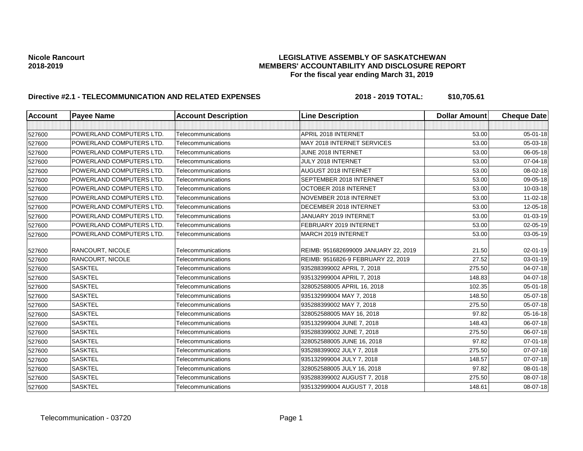| <b>Account</b> | <b>Payee Name</b>               | <b>Account Description</b> | <b>Line Description</b>              | <b>Dollar Amount</b> | <b>Cheque Date</b> |
|----------------|---------------------------------|----------------------------|--------------------------------------|----------------------|--------------------|
|                |                                 |                            |                                      |                      |                    |
| 527600         | <b>POWERLAND COMPUTERS LTD.</b> | Telecommunications         | APRIL 2018 INTERNET                  | 53.00                | 05-01-18           |
| 527600         | POWERLAND COMPUTERS LTD.        | Telecommunications         | MAY 2018 INTERNET SERVICES           | 53.00                | 05-03-18           |
| 527600         | POWERLAND COMPUTERS LTD.        | Telecommunications         | JUNE 2018 INTERNET                   | 53.00                | 06-05-18           |
| 527600         | POWERLAND COMPUTERS LTD.        | Telecommunications         | JULY 2018 INTERNET                   | 53.00                | 07-04-18           |
| 527600         | POWERLAND COMPUTERS LTD.        | Telecommunications         | AUGUST 2018 INTERNET                 | 53.00                | 08-02-18           |
| 527600         | POWERLAND COMPUTERS LTD.        | Telecommunications         | SEPTEMBER 2018 INTERNET              | 53.00                | 09-05-18           |
| 527600         | POWERLAND COMPUTERS LTD.        | Telecommunications         | OCTOBER 2018 INTERNET                | 53.00                | 10-03-18           |
| 527600         | POWERLAND COMPUTERS LTD.        | Telecommunications         | NOVEMBER 2018 INTERNET               | 53.00                | 11-02-18           |
| 527600         | POWERLAND COMPUTERS LTD.        | Telecommunications         | DECEMBER 2018 INTERNET               | 53.00                | 12-05-18           |
| 527600         | POWERLAND COMPUTERS LTD.        | Telecommunications         | JANUARY 2019 INTERNET                | 53.00                | $01 - 03 - 19$     |
| 527600         | <b>POWERLAND COMPUTERS LTD.</b> | Telecommunications         | FEBRUARY 2019 INTERNET               | 53.00                | 02-05-19           |
| 527600         | POWERLAND COMPUTERS LTD.        | Telecommunications         | MARCH 2019 INTERNET                  | 53.00                | 03-05-19           |
| 527600         | <b>RANCOURT, NICOLE</b>         | Telecommunications         | REIMB: 951682699009 JANUARY 22, 2019 | 21.50                | 02-01-19           |
| 527600         | <b>RANCOURT, NICOLE</b>         | Telecommunications         | REIMB: 9516826-9 FEBRUARY 22, 2019   | 27.52                | 03-01-19           |
| 527600         | <b>SASKTEL</b>                  | Telecommunications         | 935288399002 APRIL 7, 2018           | 275.50               | 04-07-18           |
| 527600         | <b>SASKTEL</b>                  | Telecommunications         | 935132999004 APRIL 7, 2018           | 148.83               | 04-07-18           |
| 527600         | <b>SASKTEL</b>                  | Telecommunications         | 328052588005 APRIL 16, 2018          | 102.35               | 05-01-18           |
| 527600         | <b>SASKTEL</b>                  | Telecommunications         | 935132999004 MAY 7, 2018             | 148.50               | 05-07-18           |
| 527600         | <b>SASKTEL</b>                  | Telecommunications         | 935288399002 MAY 7, 2018             | 275.50               | 05-07-18           |
| 527600         | <b>SASKTEL</b>                  | Telecommunications         | 328052588005 MAY 16, 2018            | 97.82                | 05-16-18           |
| 527600         | <b>SASKTEL</b>                  | Telecommunications         | 935132999004 JUNE 7, 2018            | 148.43               | 06-07-18           |
| 527600         | <b>SASKTEL</b>                  | Telecommunications         | 935288399002 JUNE 7, 2018            | 275.50               | 06-07-18           |
| 527600         | <b>SASKTEL</b>                  | Telecommunications         | 328052588005 JUNE 16, 2018           | 97.82                | $07 - 01 - 18$     |
| 527600         | <b>SASKTEL</b>                  | Telecommunications         | 935288399002 JULY 7, 2018            | 275.50               | 07-07-18           |
| 527600         | <b>SASKTEL</b>                  | Telecommunications         | 935132999004 JULY 7, 2018            | 148.57               | 07-07-18           |
| 527600         | <b>SASKTEL</b>                  | Telecommunications         | 328052588005 JULY 16, 2018           | 97.82                | 08-01-18           |
| 527600         | <b>SASKTEL</b>                  | Telecommunications         | 935288399002 AUGUST 7, 2018          | 275.50               | 08-07-18           |
| 527600         | <b>SASKTEL</b>                  | Telecommunications         | 935132999004 AUGUST 7, 2018          | 148.61               | 08-07-18           |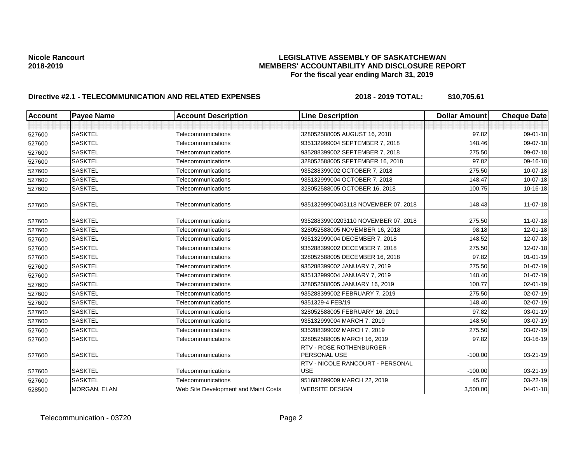| <b>Account</b> | <b>Payee Name</b> | <b>Account Description</b>           | <b>Line Description</b>                        | <b>Dollar Amount</b> | <b>Cheque Date</b> |
|----------------|-------------------|--------------------------------------|------------------------------------------------|----------------------|--------------------|
|                |                   |                                      |                                                |                      |                    |
| 527600         | <b>SASKTEL</b>    | Telecommunications                   | 328052588005 AUGUST 16, 2018                   | 97.82                | 09-01-18           |
| 527600         | <b>SASKTEL</b>    | Telecommunications                   | 935132999004 SEPTEMBER 7, 2018                 | 148.46               | 09-07-18           |
| 527600         | <b>SASKTEL</b>    | Telecommunications                   | 935288399002 SEPTEMBER 7, 2018                 | 275.50               | 09-07-18           |
| 527600         | <b>SASKTEL</b>    | Telecommunications                   | 328052588005 SEPTEMBER 16, 2018                | 97.82                | 09-16-18           |
| 527600         | <b>SASKTEL</b>    | Telecommunications                   | 935288399002 OCTOBER 7, 2018                   | 275.50               | $10 - 07 - 18$     |
| 527600         | <b>SASKTEL</b>    | Telecommunications                   | 935132999004 OCTOBER 7, 2018                   | 148.47               | 10-07-18           |
| 527600         | <b>SASKTEL</b>    | Telecommunications                   | 328052588005 OCTOBER 16, 2018                  | 100.75               | $10-16-18$         |
| 527600         | <b>SASKTEL</b>    | Telecommunications                   | 93513299900403118 NOVEMBER 07, 2018            | 148.43               | 11-07-18           |
| 527600         | <b>SASKTEL</b>    | Telecommunications                   | 93528839900203110 NOVEMBER 07, 2018            | 275.50               | 11-07-18           |
| 527600         | <b>SASKTEL</b>    | Telecommunications                   | 328052588005 NOVEMBER 16, 2018                 | 98.18                | $12 - 01 - 18$     |
| 527600         | <b>SASKTEL</b>    | Telecommunications                   | 935132999004 DECEMBER 7, 2018                  | 148.52               | 12-07-18           |
| 527600         | <b>SASKTEL</b>    | Telecommunications                   | 935288399002 DECEMBER 7, 2018                  | 275.50               | 12-07-18           |
| 527600         | <b>SASKTEL</b>    | Telecommunications                   | 328052588005 DECEMBER 16, 2018                 | 97.82                | $01 - 01 - 19$     |
| 527600         | <b>SASKTEL</b>    | Telecommunications                   | 935288399002 JANUARY 7, 2019                   | 275.50               | $01-07-19$         |
| 527600         | <b>SASKTEL</b>    | Telecommunications                   | 935132999004 JANUARY 7, 2019                   | 148.40               | $01 - 07 - 19$     |
| 527600         | <b>SASKTEL</b>    | Telecommunications                   | 328052588005 JANUARY 16, 2019                  | 100.77               | 02-01-19           |
| 527600         | <b>SASKTEL</b>    | Telecommunications                   | 935288399002 FEBRUARY 7, 2019                  | 275.50               | $02 - 07 - 19$     |
| 527600         | <b>SASKTEL</b>    | Telecommunications                   | 9351329-4 FEB/19                               | 148.40               | $02 - 07 - 19$     |
| 527600         | <b>SASKTEL</b>    | Telecommunications                   | 328052588005 FEBRUARY 16, 2019                 | 97.82                | 03-01-19           |
| 527600         | <b>SASKTEL</b>    | Telecommunications                   | 935132999004 MARCH 7, 2019                     | 148.50               | 03-07-19           |
| 527600         | <b>SASKTEL</b>    | Telecommunications                   | 935288399002 MARCH 7, 2019                     | 275.50               | 03-07-19           |
| 527600         | <b>SASKTEL</b>    | Telecommunications                   | 328052588005 MARCH 16, 2019                    | 97.82                | 03-16-19           |
| 527600         | <b>SASKTEL</b>    | Telecommunications                   | RTV - ROSE ROTHENBURGER -<br>PERSONAL USE      | $-100.00$            | 03-21-19           |
| 527600         | <b>SASKTEL</b>    | Telecommunications                   | RTV - NICOLE RANCOURT - PERSONAL<br><b>USE</b> | $-100.00$            | 03-21-19           |
| 527600         | <b>SASKTEL</b>    | Telecommunications                   | 951682699009 MARCH 22, 2019                    | 45.07                | 03-22-19           |
| 528500         | MORGAN, ELAN      | Web Site Development and Maint Costs | <b>WEBSITE DESIGN</b>                          | 3,500.00             | $04 - 01 - 18$     |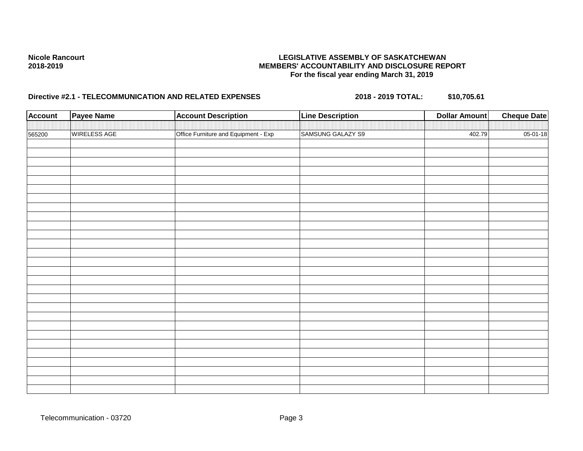| <b>Account</b> | <b>Payee Name</b> | <b>Account Description</b>           | <b>Line Description</b> | <b>Dollar Amount</b> | <b>Cheque Date</b> |
|----------------|-------------------|--------------------------------------|-------------------------|----------------------|--------------------|
|                | WIRELESS AGE      |                                      | SAMSUNG GALAZY S9       | 402.79               | $05 - 01 - 18$     |
| 565200         |                   | Office Furniture and Equipment - Exp |                         |                      |                    |
|                |                   |                                      |                         |                      |                    |
|                |                   |                                      |                         |                      |                    |
|                |                   |                                      |                         |                      |                    |
|                |                   |                                      |                         |                      |                    |
|                |                   |                                      |                         |                      |                    |
|                |                   |                                      |                         |                      |                    |
|                |                   |                                      |                         |                      |                    |
|                |                   |                                      |                         |                      |                    |
|                |                   |                                      |                         |                      |                    |
|                |                   |                                      |                         |                      |                    |
|                |                   |                                      |                         |                      |                    |
|                |                   |                                      |                         |                      |                    |
|                |                   |                                      |                         |                      |                    |
|                |                   |                                      |                         |                      |                    |
|                |                   |                                      |                         |                      |                    |
|                |                   |                                      |                         |                      |                    |
|                |                   |                                      |                         |                      |                    |
|                |                   |                                      |                         |                      |                    |
|                |                   |                                      |                         |                      |                    |
|                |                   |                                      |                         |                      |                    |
|                |                   |                                      |                         |                      |                    |
|                |                   |                                      |                         |                      |                    |
|                |                   |                                      |                         |                      |                    |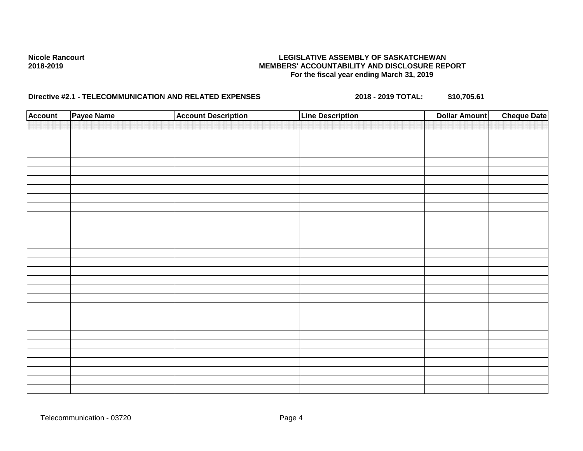| <b>Account</b> | Payee Name | <b>Account Description</b> | <b>Line Description</b> | <b>Dollar Amount</b> | <b>Cheque Date</b> |
|----------------|------------|----------------------------|-------------------------|----------------------|--------------------|
|                |            |                            |                         |                      |                    |
|                |            |                            |                         |                      |                    |
|                |            |                            |                         |                      |                    |
|                |            |                            |                         |                      |                    |
|                |            |                            |                         |                      |                    |
|                |            |                            |                         |                      |                    |
|                |            |                            |                         |                      |                    |
|                |            |                            |                         |                      |                    |
|                |            |                            |                         |                      |                    |
|                |            |                            |                         |                      |                    |
|                |            |                            |                         |                      |                    |
|                |            |                            |                         |                      |                    |
|                |            |                            |                         |                      |                    |
|                |            |                            |                         |                      |                    |
|                |            |                            |                         |                      |                    |
|                |            |                            |                         |                      |                    |
|                |            |                            |                         |                      |                    |
|                |            |                            |                         |                      |                    |
|                |            |                            |                         |                      |                    |
|                |            |                            |                         |                      |                    |
|                |            |                            |                         |                      |                    |
|                |            |                            |                         |                      |                    |
|                |            |                            |                         |                      |                    |
|                |            |                            |                         |                      |                    |
|                |            |                            |                         |                      |                    |
|                |            |                            |                         |                      |                    |
|                |            |                            |                         |                      |                    |
|                |            |                            |                         |                      |                    |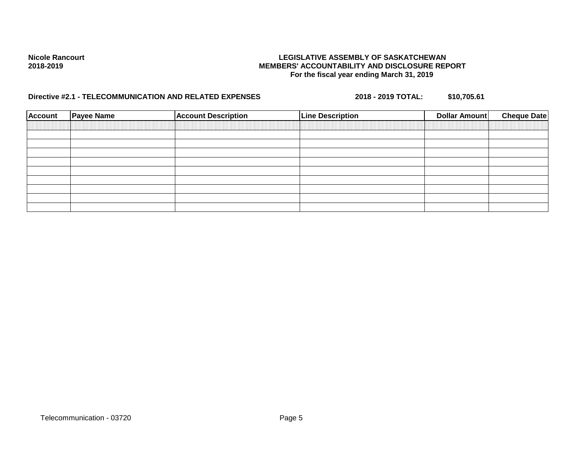| <b>Account</b> | <b>Payee Name</b> | <b>Account Description</b> | <b>Line Description</b> | Dollar Amount | <b>Cheque Date</b> |
|----------------|-------------------|----------------------------|-------------------------|---------------|--------------------|
|                |                   |                            |                         |               |                    |
|                |                   |                            |                         |               |                    |
|                |                   |                            |                         |               |                    |
|                |                   |                            |                         |               |                    |
|                |                   |                            |                         |               |                    |
|                |                   |                            |                         |               |                    |
|                |                   |                            |                         |               |                    |
|                |                   |                            |                         |               |                    |
|                |                   |                            |                         |               |                    |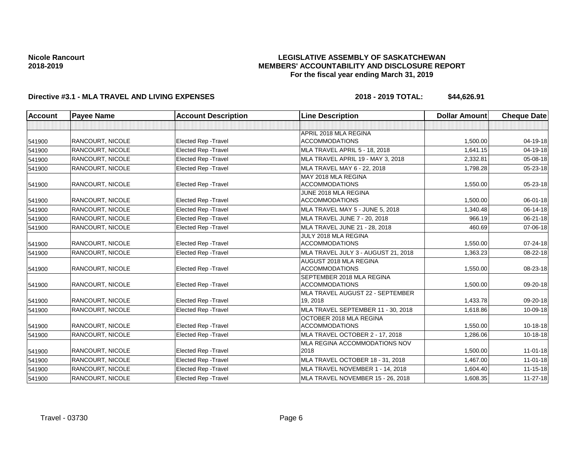## **LEGISLATIVE ASSEMBLY OF SASKATCHEWAN MEMBERS' ACCOUNTABILITY AND DISCLOSURE REPORT For the fiscal year ending March 31, 2019**

| Account | <b>Payee Name</b>       | <b>Account Description</b>  | <b>Line Description</b>              | <b>Dollar Amount</b> | <b>Cheque Date</b> |
|---------|-------------------------|-----------------------------|--------------------------------------|----------------------|--------------------|
|         |                         |                             |                                      |                      |                    |
|         |                         |                             | APRIL 2018 MLA REGINA                |                      |                    |
| 541900  | <b>RANCOURT, NICOLE</b> | Elected Rep - Travel        | <b>ACCOMMODATIONS</b>                | 1,500.00             | $04 - 19 - 18$     |
| 541900  | <b>RANCOURT. NICOLE</b> | Elected Rep - Travel        | <b>MLA TRAVEL APRIL 5 - 18, 2018</b> | 1,641.15             | 04-19-18           |
| 541900  | <b>RANCOURT, NICOLE</b> | <b>Elected Rep - Travel</b> | MLA TRAVEL APRIL 19 - MAY 3, 2018    | 2,332.81             | $05 - 08 - 18$     |
| 541900  | <b>RANCOURT, NICOLE</b> | Elected Rep - Travel        | MLA TRAVEL MAY 6 - 22, 2018          | 1,798.28             | 05-23-18           |
|         |                         |                             | MAY 2018 MLA REGINA                  |                      |                    |
| 541900  | <b>RANCOURT, NICOLE</b> | Elected Rep - Travel        | <b>ACCOMMODATIONS</b>                | 1,550.00             | 05-23-18           |
|         |                         |                             | JUNE 2018 MLA REGINA                 |                      |                    |
| 541900  | RANCOURT, NICOLE        | Elected Rep - Travel        | <b>ACCOMMODATIONS</b>                | 1,500.00             | 06-01-18           |
| 541900  | <b>RANCOURT, NICOLE</b> | Elected Rep - Travel        | MLA TRAVEL MAY 5 - JUNE 5, 2018      | 1,340.48             | $06 - 14 - 18$     |
| 541900  | <b>RANCOURT, NICOLE</b> | Elected Rep - Travel        | MLA TRAVEL JUNE 7 - 20, 2018         | 966.19               | $06 - 21 - 18$     |
| 541900  | <b>RANCOURT, NICOLE</b> | <b>Elected Rep - Travel</b> | MLA TRAVEL JUNE 21 - 28, 2018        | 460.69               | 07-06-18           |
|         |                         |                             | JULY 2018 MLA REGINA                 |                      |                    |
| 541900  | <b>RANCOURT, NICOLE</b> | <b>Elected Rep - Travel</b> | <b>ACCOMMODATIONS</b>                | 1.550.00             | $07 - 24 - 18$     |
| 541900  | <b>RANCOURT, NICOLE</b> | Elected Rep - Travel        | MLA TRAVEL JULY 3 - AUGUST 21, 2018  | 1,363.23             | 08-22-18           |
|         |                         |                             | AUGUST 2018 MLA REGINA               |                      |                    |
| 541900  | <b>RANCOURT, NICOLE</b> | Elected Rep - Travel        | <b>ACCOMMODATIONS</b>                | 1,550.00             | 08-23-18           |
|         |                         |                             | SEPTEMBER 2018 MLA REGINA            |                      |                    |
| 541900  | <b>RANCOURT, NICOLE</b> | Elected Rep - Travel        | <b>ACCOMMODATIONS</b>                | 1,500.00             | 09-20-18           |
|         |                         |                             | MLA TRAVEL AUGUST 22 - SEPTEMBER     |                      |                    |
| 541900  | RANCOURT, NICOLE        | <b>Elected Rep - Travel</b> | 19, 2018                             | 1,433.78             | 09-20-18           |
| 541900  | <b>RANCOURT, NICOLE</b> | <b>Elected Rep - Travel</b> | MLA TRAVEL SEPTEMBER 11 - 30, 2018   | 1,618.86             | 10-09-18           |
|         |                         |                             | OCTOBER 2018 MLA REGINA              |                      |                    |
| 541900  | <b>RANCOURT, NICOLE</b> | Elected Rep - Travel        | <b>ACCOMMODATIONS</b>                | 1,550.00             | $10 - 18 - 18$     |
| 541900  | RANCOURT, NICOLE        | Elected Rep - Travel        | MLA TRAVEL OCTOBER 2 - 17, 2018      | 1,286.06             | $10 - 18 - 18$     |
|         |                         |                             | MLA REGINA ACCOMMODATIONS NOV        |                      |                    |
| 541900  | <b>RANCOURT, NICOLE</b> | Elected Rep - Travel        | 2018                                 | 1,500.00             | $11 - 01 - 18$     |
| 541900  | RANCOURT, NICOLE        | <b>Elected Rep - Travel</b> | MLA TRAVEL OCTOBER 18 - 31, 2018     | 1,467.00             | $11 - 01 - 18$     |
| 541900  | <b>RANCOURT, NICOLE</b> | Elected Rep - Travel        | MLA TRAVEL NOVEMBER 1 - 14, 2018     | 1,604.40             | $11 - 15 - 18$     |
| 541900  | RANCOURT, NICOLE        | <b>Elected Rep - Travel</b> | MLA TRAVEL NOVEMBER 15 - 26, 2018    | 1,608.35             | $11 - 27 - 18$     |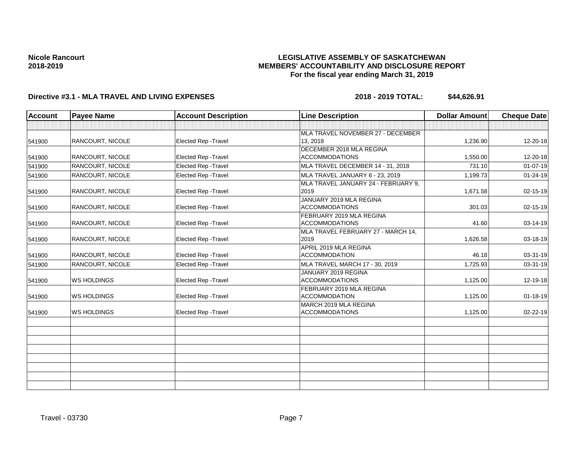## **LEGISLATIVE ASSEMBLY OF SASKATCHEWAN MEMBERS' ACCOUNTABILITY AND DISCLOSURE REPORT For the fiscal year ending March 31, 2019**

| <b>Account</b> | <b>Payee Name</b>       | <b>Account Description</b>  | <b>Line Description</b>                           | <b>Dollar Amount</b> | <b>Cheque Date</b> |
|----------------|-------------------------|-----------------------------|---------------------------------------------------|----------------------|--------------------|
|                |                         |                             |                                                   |                      |                    |
| 541900         | <b>RANCOURT, NICOLE</b> | <b>Elected Rep - Travel</b> | MLA TRAVEL NOVEMBER 27 - DECEMBER<br>13, 2018     | 1,236.90             | 12-20-18           |
| 541900         | <b>RANCOURT, NICOLE</b> | Elected Rep - Travel        | DECEMBER 2018 MLA REGINA<br><b>ACCOMMODATIONS</b> | 1,550.00             | 12-20-18           |
| 541900         | RANCOURT, NICOLE        | Elected Rep - Travel        | MLA TRAVEL DECEMBER 14 - 31, 2018                 | 731.10               | $01 - 07 - 19$     |
| 541900         | RANCOURT, NICOLE        | Elected Rep - Travel        | MLA TRAVEL JANUARY 6 - 23, 2019                   | 1,199.73             | $01 - 24 - 19$     |
| 541900         | <b>RANCOURT, NICOLE</b> | Elected Rep - Travel        | MLA TRAVEL JANUARY 24 - FEBRUARY 9,<br>2019       | 1,671.58             | 02-15-19           |
| 541900         | RANCOURT, NICOLE        | <b>Elected Rep - Travel</b> | JANUARY 2019 MLA REGINA<br><b>ACCOMMODATIONS</b>  | 301.03               | 02-15-19           |
| 541900         | <b>RANCOURT, NICOLE</b> | <b>Elected Rep - Travel</b> | FEBRUARY 2019 MLA REGINA<br><b>ACCOMMODATIONS</b> | 41.60                | 03-14-19           |
| 541900         | <b>RANCOURT, NICOLE</b> | <b>Elected Rep - Travel</b> | MLA TRAVEL FEBRUARY 27 - MARCH 14,<br>2019        | 1,626.58             | 03-18-19           |
| 541900         | <b>RANCOURT, NICOLE</b> | <b>Elected Rep - Travel</b> | APRIL 2019 MLA REGINA<br><b>ACCOMMODATION</b>     | 46.18                | 03-31-19           |
| 541900         | RANCOURT, NICOLE        | Elected Rep - Travel        | MLA TRAVEL MARCH 17 - 30, 2019                    | 1,725.93             | 03-31-19           |
| 541900         | <b>WS HOLDINGS</b>      | <b>Elected Rep - Travel</b> | JANUARY 2019 REGINA<br><b>ACCOMMODATIONS</b>      | 1,125.00             | 12-19-18           |
| 541900         | <b>WS HOLDINGS</b>      | Elected Rep - Travel        | FEBRUARY 2019 MLA REGINA<br><b>ACCOMMODATION</b>  | 1,125.00             | $01 - 18 - 19$     |
| 541900         | <b>WS HOLDINGS</b>      | <b>Elected Rep - Travel</b> | MARCH 2019 MLA REGINA<br><b>ACCOMMODATIONS</b>    | 1,125.00             | $02 - 22 - 19$     |
|                |                         |                             |                                                   |                      |                    |
|                |                         |                             |                                                   |                      |                    |
|                |                         |                             |                                                   |                      |                    |
|                |                         |                             |                                                   |                      |                    |
|                |                         |                             |                                                   |                      |                    |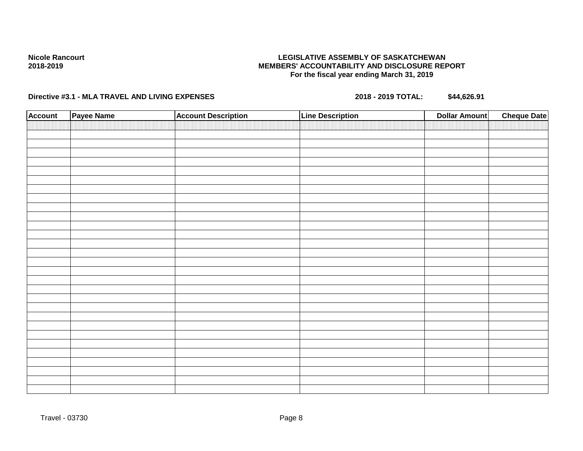## **LEGISLATIVE ASSEMBLY OF SASKATCHEWAN MEMBERS' ACCOUNTABILITY AND DISCLOSURE REPORT For the fiscal year ending March 31, 2019**

| <b>Account</b> | Payee Name | <b>Account Description</b> | <b>Line Description</b> | <b>Cheque Date</b><br><b>Dollar Amount</b> |
|----------------|------------|----------------------------|-------------------------|--------------------------------------------|
|                |            |                            |                         |                                            |
|                |            |                            |                         |                                            |
|                |            |                            |                         |                                            |
|                |            |                            |                         |                                            |
|                |            |                            |                         |                                            |
|                |            |                            |                         |                                            |
|                |            |                            |                         |                                            |
|                |            |                            |                         |                                            |
|                |            |                            |                         |                                            |
|                |            |                            |                         |                                            |
|                |            |                            |                         |                                            |
|                |            |                            |                         |                                            |
|                |            |                            |                         |                                            |
|                |            |                            |                         |                                            |
|                |            |                            |                         |                                            |
|                |            |                            |                         |                                            |
|                |            |                            |                         |                                            |
|                |            |                            |                         |                                            |
|                |            |                            |                         |                                            |
|                |            |                            |                         |                                            |
|                |            |                            |                         |                                            |
|                |            |                            |                         |                                            |
|                |            |                            |                         |                                            |
|                |            |                            |                         |                                            |
|                |            |                            |                         |                                            |
|                |            |                            |                         |                                            |
|                |            |                            |                         |                                            |
|                |            |                            |                         |                                            |
|                |            |                            |                         |                                            |
|                |            |                            |                         |                                            |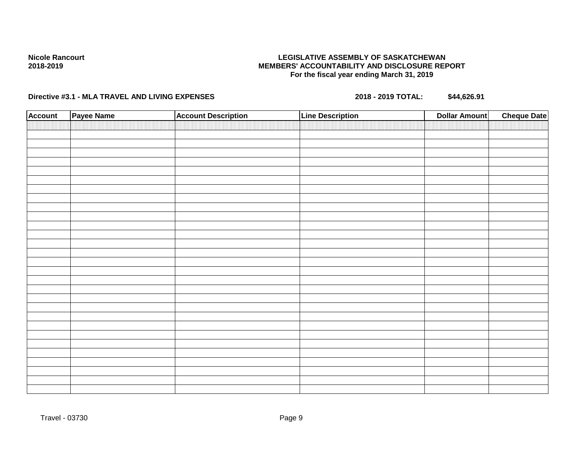## **LEGISLATIVE ASSEMBLY OF SASKATCHEWAN MEMBERS' ACCOUNTABILITY AND DISCLOSURE REPORT For the fiscal year ending March 31, 2019**

| <b>Account</b> | Payee Name | <b>Account Description</b> | <b>Line Description</b> | <b>Cheque Date</b><br><b>Dollar Amount</b> |
|----------------|------------|----------------------------|-------------------------|--------------------------------------------|
|                |            |                            |                         |                                            |
|                |            |                            |                         |                                            |
|                |            |                            |                         |                                            |
|                |            |                            |                         |                                            |
|                |            |                            |                         |                                            |
|                |            |                            |                         |                                            |
|                |            |                            |                         |                                            |
|                |            |                            |                         |                                            |
|                |            |                            |                         |                                            |
|                |            |                            |                         |                                            |
|                |            |                            |                         |                                            |
|                |            |                            |                         |                                            |
|                |            |                            |                         |                                            |
|                |            |                            |                         |                                            |
|                |            |                            |                         |                                            |
|                |            |                            |                         |                                            |
|                |            |                            |                         |                                            |
|                |            |                            |                         |                                            |
|                |            |                            |                         |                                            |
|                |            |                            |                         |                                            |
|                |            |                            |                         |                                            |
|                |            |                            |                         |                                            |
|                |            |                            |                         |                                            |
|                |            |                            |                         |                                            |
|                |            |                            |                         |                                            |
|                |            |                            |                         |                                            |
|                |            |                            |                         |                                            |
|                |            |                            |                         |                                            |
|                |            |                            |                         |                                            |
|                |            |                            |                         |                                            |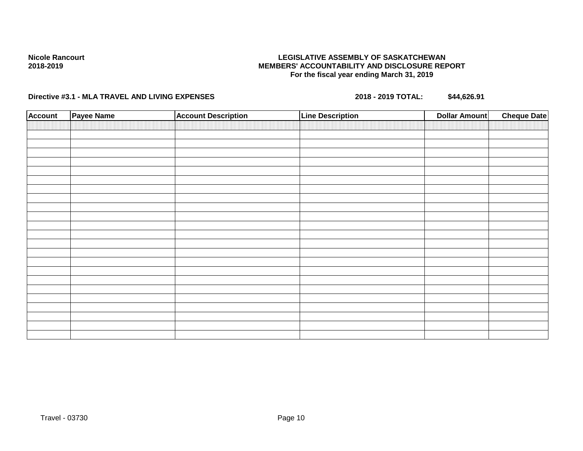## **LEGISLATIVE ASSEMBLY OF SASKATCHEWAN MEMBERS' ACCOUNTABILITY AND DISCLOSURE REPORT For the fiscal year ending March 31, 2019**

| <b>Account</b> | Payee Name | <b>Account Description</b> | <b>Line Description</b> | <b>Dollar Amount</b> | <b>Cheque Date</b> |
|----------------|------------|----------------------------|-------------------------|----------------------|--------------------|
|                |            |                            |                         |                      |                    |
|                |            |                            |                         |                      |                    |
|                |            |                            |                         |                      |                    |
|                |            |                            |                         |                      |                    |
|                |            |                            |                         |                      |                    |
|                |            |                            |                         |                      |                    |
|                |            |                            |                         |                      |                    |
|                |            |                            |                         |                      |                    |
|                |            |                            |                         |                      |                    |
|                |            |                            |                         |                      |                    |
|                |            |                            |                         |                      |                    |
|                |            |                            |                         |                      |                    |
|                |            |                            |                         |                      |                    |
|                |            |                            |                         |                      |                    |
|                |            |                            |                         |                      |                    |
|                |            |                            |                         |                      |                    |
|                |            |                            |                         |                      |                    |
|                |            |                            |                         |                      |                    |
|                |            |                            |                         |                      |                    |
|                |            |                            |                         |                      |                    |
|                |            |                            |                         |                      |                    |
|                |            |                            |                         |                      |                    |
|                |            |                            |                         |                      |                    |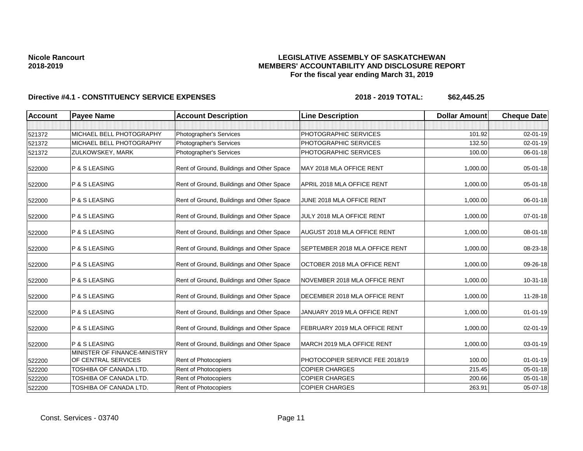## **LEGISLATIVE ASSEMBLY OF SASKATCHEWAN MEMBERS' ACCOUNTABILITY AND DISCLOSURE REPORT For the fiscal year ending March 31, 2019**

| <b>Account</b> | <b>Payee Name</b>                                   | <b>Account Description</b>                | <b>Line Description</b>         | <b>Dollar Amount</b> | <b>Cheque Date</b> |
|----------------|-----------------------------------------------------|-------------------------------------------|---------------------------------|----------------------|--------------------|
|                |                                                     |                                           |                                 |                      |                    |
| 521372         | MICHAEL BELL PHOTOGRAPHY                            | Photographer's Services                   | PHOTOGRAPHIC SERVICES           | 101.92               | 02-01-19           |
| 521372         | MICHAEL BELL PHOTOGRAPHY                            | Photographer's Services                   | PHOTOGRAPHIC SERVICES           | 132.50               | $02 - 01 - 19$     |
| 521372         | ZULKOWSKEY, MARK                                    | Photographer's Services                   | PHOTOGRAPHIC SERVICES           | 100.00               | 06-01-18           |
| 522000         | P & S LEASING                                       | Rent of Ground, Buildings and Other Space | MAY 2018 MLA OFFICE RENT        | 1,000.00             | 05-01-18           |
| 522000         | P & S LEASING                                       | Rent of Ground, Buildings and Other Space | APRIL 2018 MLA OFFICE RENT      | 1,000.00             | 05-01-18           |
| 522000         | P & S LEASING                                       | Rent of Ground, Buildings and Other Space | JUNE 2018 MLA OFFICE RENT       | 1,000.00             | 06-01-18           |
| 522000         | P & S LEASING                                       | Rent of Ground, Buildings and Other Space | JULY 2018 MLA OFFICE RENT       | 1,000.00             | 07-01-18           |
| 522000         | P & S LEASING                                       | Rent of Ground, Buildings and Other Space | AUGUST 2018 MLA OFFICE RENT     | 1,000.00             | 08-01-18           |
| 522000         | P & S LEASING                                       | Rent of Ground, Buildings and Other Space | SEPTEMBER 2018 MLA OFFICE RENT  | 1,000.00             | 08-23-18           |
| 522000         | P & S LEASING                                       | Rent of Ground, Buildings and Other Space | OCTOBER 2018 MLA OFFICE RENT    | 1,000.00             | 09-26-18           |
| 522000         | P & S LEASING                                       | Rent of Ground, Buildings and Other Space | NOVEMBER 2018 MLA OFFICE RENT   | 1,000.00             | 10-31-18           |
| 522000         | P & S LEASING                                       | Rent of Ground, Buildings and Other Space | DECEMBER 2018 MLA OFFICE RENT   | 1,000.00             | 11-28-18           |
| 522000         | P & S LEASING                                       | Rent of Ground, Buildings and Other Space | JANUARY 2019 MLA OFFICE RENT    | 1,000.00             | $01 - 01 - 19$     |
| 522000         | P & S LEASING                                       | Rent of Ground, Buildings and Other Space | FEBRUARY 2019 MLA OFFICE RENT   | 1,000.00             | 02-01-19           |
| 522000         | P & S LEASING                                       | Rent of Ground, Buildings and Other Space | MARCH 2019 MLA OFFICE RENT      | 1,000.00             | 03-01-19           |
| 522200         | MINISTER OF FINANCE-MINISTRY<br>OF CENTRAL SERVICES | <b>Rent of Photocopiers</b>               | PHOTOCOPIER SERVICE FEE 2018/19 | 100.00               | $01 - 01 - 19$     |
| 522200         | TOSHIBA OF CANADA LTD.                              | Rent of Photocopiers                      | <b>COPIER CHARGES</b>           | 215.45               | 05-01-18           |
| 522200         | TOSHIBA OF CANADA LTD.                              | Rent of Photocopiers                      | <b>COPIER CHARGES</b>           | 200.66               | 05-01-18           |
| 522200         | TOSHIBA OF CANADA LTD.                              | Rent of Photocopiers                      | <b>COPIER CHARGES</b>           | 263.91               | 05-07-18           |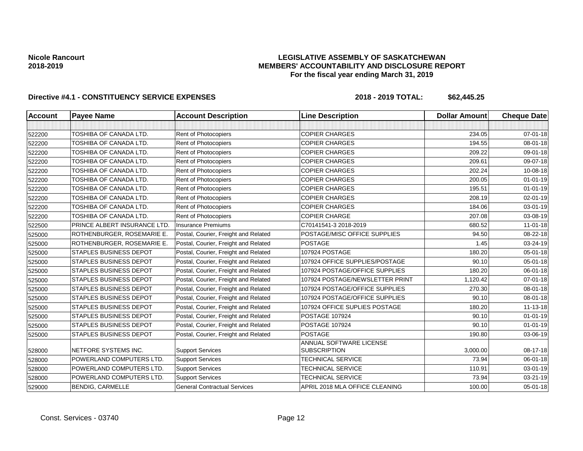## **LEGISLATIVE ASSEMBLY OF SASKATCHEWAN MEMBERS' ACCOUNTABILITY AND DISCLOSURE REPORT For the fiscal year ending March 31, 2019**

| <b>Account</b> | <b>Payee Name</b>             | <b>Account Description</b>           | <b>Line Description</b>                        | <b>Dollar Amount</b> | <b>Cheque Date</b> |
|----------------|-------------------------------|--------------------------------------|------------------------------------------------|----------------------|--------------------|
|                |                               |                                      |                                                |                      |                    |
| 522200         | TOSHIBA OF CANADA LTD.        | Rent of Photocopiers                 | <b>COPIER CHARGES</b>                          | 234.05               | $07 - 01 - 18$     |
| 522200         | TOSHIBA OF CANADA LTD.        | Rent of Photocopiers                 | <b>COPIER CHARGES</b>                          | 194.55               | 08-01-18           |
| 522200         | TOSHIBA OF CANADA LTD.        | Rent of Photocopiers                 | <b>COPIER CHARGES</b>                          | 209.22               | 09-01-18           |
| 522200         | TOSHIBA OF CANADA LTD.        | Rent of Photocopiers                 | <b>COPIER CHARGES</b>                          | 209.61               | 09-07-18           |
| 522200         | TOSHIBA OF CANADA LTD.        | Rent of Photocopiers                 | <b>COPIER CHARGES</b>                          | 202.24               | 10-08-18           |
| 522200         | TOSHIBA OF CANADA LTD.        | Rent of Photocopiers                 | <b>COPIER CHARGES</b>                          | 200.05               | $01 - 01 - 19$     |
| 522200         | TOSHIBA OF CANADA LTD.        | Rent of Photocopiers                 | <b>COPIER CHARGES</b>                          | 195.51               | $01 - 01 - 19$     |
| 522200         | TOSHIBA OF CANADA LTD.        | Rent of Photocopiers                 | <b>COPIER CHARGES</b>                          | 208.19               | $02 - 01 - 19$     |
| 522200         | TOSHIBA OF CANADA LTD.        | Rent of Photocopiers                 | <b>COPIER CHARGES</b>                          | 184.06               | 03-01-19           |
| 522200         | TOSHIBA OF CANADA LTD.        | Rent of Photocopiers                 | <b>COPIER CHARGE</b>                           | 207.08               | 03-08-19           |
| 522500         | PRINCE ALBERT INSURANCE LTD   | <b>Insurance Premiums</b>            | C70141541-3 2018-2019                          | 680.52               | $11-01-18$         |
| 525000         | ROTHENBURGER, ROSEMARIE E     | Postal, Courier, Freight and Related | POSTAGE/MISC OFFICE SUPPLIES                   | 94.50                | 08-22-18           |
| 525000         | ROTHENBURGER, ROSEMARIE E.    | Postal, Courier, Freight and Related | <b>POSTAGE</b>                                 | 1.45                 | 03-24-19           |
| 525000         | <b>STAPLES BUSINESS DEPOT</b> | Postal, Courier, Freight and Related | 107924 POSTAGE                                 | 180.20               | 05-01-18           |
| 525000         | <b>STAPLES BUSINESS DEPOT</b> | Postal, Courier, Freight and Related | 107924 OFFICE SUPPLIES/POSTAGE                 | 90.10                | 05-01-18           |
| 525000         | <b>STAPLES BUSINESS DEPOT</b> | Postal, Courier, Freight and Related | 107924 POSTAGE/OFFICE SUPPLIES                 | 180.20               | 06-01-18           |
| 525000         | <b>STAPLES BUSINESS DEPOT</b> | Postal, Courier, Freight and Related | 107924 POSTAGE/NEWSLETTER PRINT                | 1,120.42             | $07 - 01 - 18$     |
| 525000         | <b>STAPLES BUSINESS DEPOT</b> | Postal, Courier, Freight and Related | 107924 POSTAGE/OFFICE SUPPLIES                 | 270.30               | 08-01-18           |
| 525000         | <b>STAPLES BUSINESS DEPOT</b> | Postal, Courier, Freight and Related | 107924 POSTAGE/OFFICE SUPPLIES                 | 90.10                | 08-01-18           |
| 525000         | <b>STAPLES BUSINESS DEPOT</b> | Postal, Courier, Freight and Related | 107924 OFFICE SUPLIES POSTAGE                  | 180.20               | $11 - 13 - 18$     |
| 525000         | <b>STAPLES BUSINESS DEPOT</b> | Postal, Courier, Freight and Related | <b>POSTAGE 107924</b>                          | 90.10                | $01 - 01 - 19$     |
| 525000         | <b>STAPLES BUSINESS DEPOT</b> | Postal, Courier, Freight and Related | <b>POSTAGE 107924</b>                          | 90.10                | $01 - 01 - 19$     |
| 525000         | <b>STAPLES BUSINESS DEPOT</b> | Postal, Courier, Freight and Related | <b>POSTAGE</b>                                 | 190.80               | 03-06-19           |
| 528000         | NETFORE SYSTEMS INC.          | <b>Support Services</b>              | ANNUAL SOFTWARE LICENSE<br><b>SUBSCRIPTION</b> | 3,000.00             | 08-17-18           |
| 528000         | POWERLAND COMPUTERS LTD.      | <b>Support Services</b>              | <b>TECHNICAL SERVICE</b>                       | 73.94                | 06-01-18           |
| 528000         | POWERLAND COMPUTERS LTD.      | <b>Support Services</b>              | TECHNICAL SERVICE                              | 110.91               | 03-01-19           |
| 528000         | POWERLAND COMPUTERS LTD.      | <b>Support Services</b>              | <b>TECHNICAL SERVICE</b>                       | 73.94                | 03-21-19           |
| 529000         | <b>BENDIG, CARMELLE</b>       | <b>General Contractual Services</b>  | APRIL 2018 MLA OFFICE CLEANING                 | 100.00               | $05 - 01 - 18$     |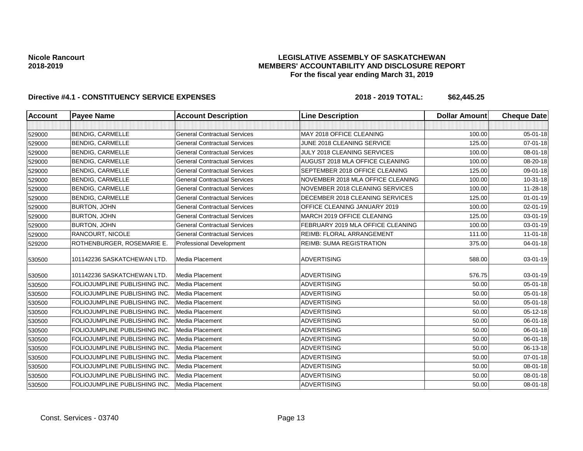## **LEGISLATIVE ASSEMBLY OF SASKATCHEWAN MEMBERS' ACCOUNTABILITY AND DISCLOSURE REPORT For the fiscal year ending March 31, 2019**

| <b>Account</b> | <b>Payee Name</b>             | <b>Account Description</b>          | <b>Line Description</b>           | <b>Dollar Amount</b> | <b>Cheque Date</b> |
|----------------|-------------------------------|-------------------------------------|-----------------------------------|----------------------|--------------------|
|                |                               |                                     |                                   |                      |                    |
| 529000         | <b>BENDIG, CARMELLE</b>       | <b>General Contractual Services</b> | MAY 2018 OFFICE CLEANING          | 100.00               | 05-01-18           |
| 529000         | <b>BENDIG, CARMELLE</b>       | <b>General Contractual Services</b> | JUNE 2018 CLEANING SERVICE        | 125.00               | 07-01-18           |
| 529000         | <b>BENDIG, CARMELLE</b>       | <b>General Contractual Services</b> | JULY 2018 CLEANING SERVICES       | 100.00               | 08-01-18           |
| 529000         | <b>BENDIG, CARMELLE</b>       | <b>General Contractual Services</b> | AUGUST 2018 MLA OFFICE CLEANING   | 100.00               | 08-20-18           |
| 529000         | <b>BENDIG, CARMELLE</b>       | <b>General Contractual Services</b> | SEPTEMBER 2018 OFFICE CLEANING    | 125.00               | 09-01-18           |
| 529000         | <b>BENDIG, CARMELLE</b>       | <b>General Contractual Services</b> | NOVEMBER 2018 MLA OFFICE CLEANING | 100.00               | 10-31-18           |
| 529000         | <b>BENDIG, CARMELLE</b>       | <b>General Contractual Services</b> | NOVEMBER 2018 CLEANING SERVICES   | 100.00               | 11-28-18           |
| 529000         | <b>BENDIG, CARMELLE</b>       | <b>General Contractual Services</b> | DECEMBER 2018 CLEANING SERVICES   | 125.00               | $01 - 01 - 19$     |
| 529000         | BURTON, JOHN                  | <b>General Contractual Services</b> | OFFICE CLEANING JANUARY 2019      | 100.00               | 02-01-19           |
| 529000         | <b>BURTON, JOHN</b>           | <b>General Contractual Services</b> | MARCH 2019 OFFICE CLEANING        | 125.00               | 03-01-19           |
| 529000         | <b>BURTON, JOHN</b>           | <b>General Contractual Services</b> | FEBRUARY 2019 MLA OFFICE CLEANING | 100.00               | $03 - 01 - 19$     |
| 529000         | RANCOURT, NICOLE              | <b>General Contractual Services</b> | REIMB: FLORAL ARRANGEMENT         | 111.00               | $11 - 01 - 18$     |
| 529200         | ROTHENBURGER, ROSEMARIE E.    | <b>Professional Development</b>     | <b>REIMB: SUMA REGISTRATION</b>   | 375.00               | $04 - 01 - 18$     |
| 530500         | 101142236 SASKATCHEWAN LTD.   | Media Placement                     | <b>ADVERTISING</b>                | 588.00               | 03-01-19           |
| 530500         | 101142236 SASKATCHEWAN LTD.   | Media Placement                     | <b>ADVERTISING</b>                | 576.75               | 03-01-19           |
| 530500         | FOLIOJUMPLINE PUBLISHING INC. | Media Placement                     | <b>ADVERTISING</b>                | 50.00                | 05-01-18           |
| 530500         | FOLIOJUMPLINE PUBLISHING INC. | Media Placement                     | <b>ADVERTISING</b>                | 50.00                | 05-01-18           |
| 530500         | FOLIOJUMPLINE PUBLISHING INC. | Media Placement                     | <b>ADVERTISING</b>                | 50.00                | 05-01-18           |
| 530500         | FOLIOJUMPLINE PUBLISHING INC. | Media Placement                     | <b>ADVERTISING</b>                | 50.00                | 05-12-18           |
| 530500         | FOLIOJUMPLINE PUBLISHING INC. | Media Placement                     | <b>ADVERTISING</b>                | 50.00                | $06 - 01 - 18$     |
| 530500         | FOLIOJUMPLINE PUBLISHING INC. | Media Placement                     | <b>ADVERTISING</b>                | 50.00                | 06-01-18           |
| 530500         | FOLIOJUMPLINE PUBLISHING INC. | Media Placement                     | <b>ADVERTISING</b>                | 50.00                | 06-01-18           |
| 530500         | FOLIOJUMPLINE PUBLISHING INC. | Media Placement                     | <b>ADVERTISING</b>                | 50.00                | 06-13-18           |
| 530500         | FOLIOJUMPLINE PUBLISHING INC. | <b>Media Placement</b>              | <b>ADVERTISING</b>                | 50.00                | 07-01-18           |
| 530500         | FOLIOJUMPLINE PUBLISHING INC. | Media Placement                     | <b>ADVERTISING</b>                | 50.00                | 08-01-18           |
| 530500         | FOLIOJUMPLINE PUBLISHING INC. | Media Placement                     | <b>ADVERTISING</b>                | 50.00                | 08-01-18           |
| 530500         | FOLIOJUMPLINE PUBLISHING INC. | Media Placement                     | <b>ADVERTISING</b>                | 50.00                | $08 - 01 - 18$     |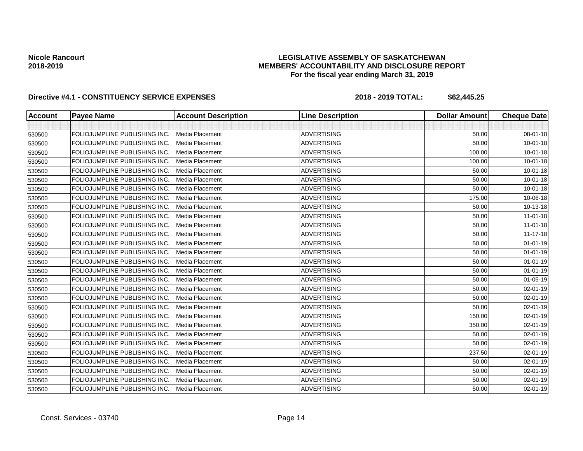## **LEGISLATIVE ASSEMBLY OF SASKATCHEWAN MEMBERS' ACCOUNTABILITY AND DISCLOSURE REPORT For the fiscal year ending March 31, 2019**

| <b>Account</b> | <b>Payee Name</b>                   | <b>Account Description</b> | <b>Line Description</b> | <b>Dollar Amount</b> | <b>Cheque Date</b> |
|----------------|-------------------------------------|----------------------------|-------------------------|----------------------|--------------------|
|                |                                     |                            |                         |                      |                    |
| 530500         | FOLIOJUMPLINE PUBLISHING INC.       | Media Placement            | <b>ADVERTISING</b>      | 50.00                | 08-01-18           |
| 530500         | FOLIOJUMPLINE PUBLISHING INC.       | Media Placement            | <b>ADVERTISING</b>      | 50.00                | $10 - 01 - 18$     |
| 530500         | FOLIOJUMPLINE PUBLISHING INC.       | Media Placement            | <b>ADVERTISING</b>      | 100.00               | $10 - 01 - 18$     |
| 530500         | FOLIOJUMPLINE PUBLISHING INC.       | Media Placement            | <b>ADVERTISING</b>      | 100.00               | 10-01-18           |
| 530500         | FOLIOJUMPLINE PUBLISHING INC.       | Media Placement            | <b>ADVERTISING</b>      | 50.00                | $10 - 01 - 18$     |
| 530500         | FOLIOJUMPLINE PUBLISHING INC.       | Media Placement            | <b>ADVERTISING</b>      | 50.00                | $10 - 01 - 18$     |
| 530500         | FOLIOJUMPLINE PUBLISHING INC.       | Media Placement            | <b>ADVERTISING</b>      | 50.00                | $10 - 01 - 18$     |
| 530500         | FOLIOJUMPLINE PUBLISHING INC.       | Media Placement            | <b>ADVERTISING</b>      | 175.00               | 10-06-18           |
| 530500         | FOLIOJUMPLINE PUBLISHING INC.       | Media Placement            | <b>ADVERTISING</b>      | 50.00                | 10-13-18           |
| 530500         | FOLIOJUMPLINE PUBLISHING INC.       | Media Placement            | <b>ADVERTISING</b>      | 50.00                | $11-01-18$         |
| 530500         | FOLIOJUMPLINE PUBLISHING INC.       | Media Placement            | <b>ADVERTISING</b>      | 50.00                | $11-01-18$         |
| 530500         | FOLIOJUMPLINE PUBLISHING INC.       | Media Placement            | <b>ADVERTISING</b>      | 50.00                | $11 - 17 - 18$     |
| 530500         | FOLIOJUMPLINE PUBLISHING INC.       | Media Placement            | <b>ADVERTISING</b>      | 50.00                | $01 - 01 - 19$     |
| 530500         | FOLIOJUMPLINE PUBLISHING INC.       | Media Placement            | <b>ADVERTISING</b>      | 50.00                | $01 - 01 - 19$     |
| 530500         | FOLIOJUMPLINE PUBLISHING INC.       | Media Placement            | <b>ADVERTISING</b>      | 50.00                | $01 - 01 - 19$     |
| 530500         | FOLIOJUMPLINE PUBLISHING INC.       | Media Placement            | <b>ADVERTISING</b>      | 50.00                | $01 - 01 - 19$     |
| 530500         | FOLIOJUMPLINE PUBLISHING INC.       | Media Placement            | <b>ADVERTISING</b>      | 50.00                | $01 - 05 - 19$     |
| 530500         | FOLIOJUMPLINE PUBLISHING INC.       | Media Placement            | <b>ADVERTISING</b>      | 50.00                | 02-01-19           |
| 530500         | FOLIOJUMPLINE PUBLISHING INC.       | Media Placement            | <b>ADVERTISING</b>      | 50.00                | $02 - 01 - 19$     |
| 530500         | FOLIOJUMPLINE PUBLISHING INC.       | Media Placement            | <b>ADVERTISING</b>      | 50.00                | 02-01-19           |
| 530500         | FOLIOJUMPLINE PUBLISHING INC.       | Media Placement            | <b>ADVERTISING</b>      | 150.00               | $02 - 01 - 19$     |
| 530500         | FOLIOJUMPLINE PUBLISHING INC.       | Media Placement            | <b>ADVERTISING</b>      | 350.00               | $02 - 01 - 19$     |
| 530500         | FOLIOJUMPLINE PUBLISHING INC.       | Media Placement            | <b>ADVERTISING</b>      | 50.00                | $02 - 01 - 19$     |
| 530500         | FOLIOJUMPLINE PUBLISHING INC.       | Media Placement            | <b>ADVERTISING</b>      | 50.00                | $02 - 01 - 19$     |
| 530500         | FOLIOJUMPLINE PUBLISHING INC.       | Media Placement            | <b>ADVERTISING</b>      | 237.50               | 02-01-19           |
| 530500         | FOLIOJUMPLINE PUBLISHING INC.       | Media Placement            | <b>ADVERTISING</b>      | 50.00                | $02 - 01 - 19$     |
| 530500         | FOLIOJUMPLINE PUBLISHING INC.       | Media Placement            | <b>ADVERTISING</b>      | 50.00                | 02-01-19           |
| 530500         | <b>FOLIOJUMPLINE PUBLISHING INC</b> | Media Placement            | <b>ADVERTISING</b>      | 50.00                | 02-01-19           |
| 530500         | FOLIOJUMPLINE PUBLISHING INC.       | Media Placement            | <b>ADVERTISING</b>      | 50.00                | $02 - 01 - 19$     |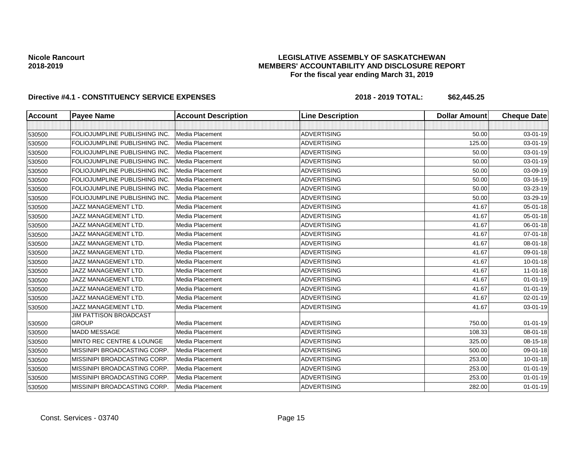## **LEGISLATIVE ASSEMBLY OF SASKATCHEWAN MEMBERS' ACCOUNTABILITY AND DISCLOSURE REPORT For the fiscal year ending March 31, 2019**

| <b>Account</b> | <b>Payee Name</b>                   | <b>Account Description</b> | <b>Line Description</b> | <b>Dollar Amount</b> | <b>Cheque Date</b> |
|----------------|-------------------------------------|----------------------------|-------------------------|----------------------|--------------------|
|                |                                     |                            |                         |                      |                    |
| 530500         | FOLIOJUMPLINE PUBLISHING INC.       | Media Placement            | <b>ADVERTISING</b>      | 50.00                | 03-01-19           |
| 530500         | FOLIOJUMPLINE PUBLISHING INC.       | Media Placement            | <b>ADVERTISING</b>      | 125.00               | 03-01-19           |
| 530500         | FOLIOJUMPLINE PUBLISHING INC.       | Media Placement            | <b>ADVERTISING</b>      | 50.00                | 03-01-19           |
| 530500         | FOLIOJUMPLINE PUBLISHING INC.       | Media Placement            | <b>ADVERTISING</b>      | 50.00                | 03-01-19           |
| 530500         | FOLIOJUMPLINE PUBLISHING INC.       | Media Placement            | <b>ADVERTISING</b>      | 50.00                | 03-09-19           |
| 530500         | FOLIOJUMPLINE PUBLISHING INC.       | Media Placement            | <b>ADVERTISING</b>      | 50.00                | 03-16-19           |
| 530500         | FOLIOJUMPLINE PUBLISHING INC.       | Media Placement            | <b>ADVERTISING</b>      | 50.00                | 03-23-19           |
| 530500         | FOLIOJUMPLINE PUBLISHING INC.       | Media Placement            | ADVERTISING             | 50.00                | 03-29-19           |
| 530500         | JAZZ MANAGEMENT LTD.                | Media Placement            | <b>ADVERTISING</b>      | 41.67                | 05-01-18           |
| 530500         | JAZZ MANAGEMENT LTD.                | Media Placement            | <b>ADVERTISING</b>      | 41.67                | 05-01-18           |
| 530500         | JAZZ MANAGEMENT LTD.                | Media Placement            | <b>ADVERTISING</b>      | 41.67                | 06-01-18           |
| 530500         | JAZZ MANAGEMENT LTD.                | Media Placement            | <b>ADVERTISING</b>      | 41.67                | 07-01-18           |
| 530500         | JAZZ MANAGEMENT LTD.                | Media Placement            | <b>ADVERTISING</b>      | 41.67                | 08-01-18           |
| 530500         | JAZZ MANAGEMENT LTD.                | Media Placement            | <b>ADVERTISING</b>      | 41.67                | 09-01-18           |
| 530500         | JAZZ MANAGEMENT LTD.                | Media Placement            | <b>ADVERTISING</b>      | 41.67                | $10 - 01 - 18$     |
| 530500         | JAZZ MANAGEMENT LTD.                | Media Placement            | <b>ADVERTISING</b>      | 41.67                | $11-01-18$         |
| 530500         | JAZZ MANAGEMENT LTD.                | Media Placement            | <b>ADVERTISING</b>      | 41.67                | $01 - 01 - 19$     |
| 530500         | JAZZ MANAGEMENT LTD.                | Media Placement            | <b>ADVERTISING</b>      | 41.67                | $01 - 01 - 19$     |
| 530500         | JAZZ MANAGEMENT LTD.                | Media Placement            | <b>ADVERTISING</b>      | 41.67                | 02-01-19           |
| 530500         | JAZZ MANAGEMENT LTD.                | Media Placement            | <b>ADVERTISING</b>      | 41.67                | 03-01-19           |
|                | <b>JIM PATTISON BROADCAST</b>       |                            |                         |                      |                    |
| 530500         | <b>GROUP</b>                        | Media Placement            | <b>ADVERTISING</b>      | 750.00               | $01 - 01 - 19$     |
| 530500         | <b>MADD MESSAGE</b>                 | Media Placement            | <b>ADVERTISING</b>      | 108.33               | 08-01-18           |
| 530500         | MINTO REC CENTRE & LOUNGE           | Media Placement            | <b>ADVERTISING</b>      | 325.00               | 08-15-18           |
| 530500         | MISSINIPI BROADCASTING CORP.        | Media Placement            | <b>ADVERTISING</b>      | 500.00               | 09-01-18           |
| 530500         | MISSINIPI BROADCASTING CORP.        | Media Placement            | <b>ADVERTISING</b>      | 253.00               | $10 - 01 - 18$     |
| 530500         | MISSINIPI BROADCASTING CORP.        | Media Placement            | ADVERTISING             | 253.00               | $01 - 01 - 19$     |
| 530500         | <b>MISSINIPI BROADCASTING CORP.</b> | Media Placement            | <b>ADVERTISING</b>      | 253.00               | $01 - 01 - 19$     |
| 530500         | MISSINIPI BROADCASTING CORP.        | Media Placement            | <b>ADVERTISING</b>      | 282.00               | $01 - 01 - 19$     |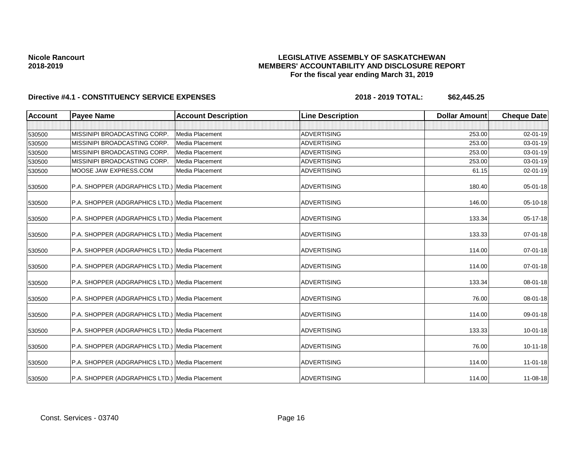## **LEGISLATIVE ASSEMBLY OF SASKATCHEWAN MEMBERS' ACCOUNTABILITY AND DISCLOSURE REPORT For the fiscal year ending March 31, 2019**

| <b>Account</b> | <b>Payee Name</b>                              | <b>Account Description</b> | <b>Line Description</b> | <b>Dollar Amount</b> | <b>Cheque Date</b> |
|----------------|------------------------------------------------|----------------------------|-------------------------|----------------------|--------------------|
|                |                                                |                            |                         |                      |                    |
| 530500         | MISSINIPI BROADCASTING CORP.                   | Media Placement            | <b>ADVERTISING</b>      | 253.00               | $02 - 01 - 19$     |
| 530500         | MISSINIPI BROADCASTING CORP.                   | Media Placement            | <b>ADVERTISING</b>      | 253.00               | 03-01-19           |
| 530500         | MISSINIPI BROADCASTING CORP.                   | Media Placement            | <b>ADVERTISING</b>      | 253.00               | 03-01-19           |
| 530500         | MISSINIPI BROADCASTING CORP.                   | Media Placement            | <b>ADVERTISING</b>      | 253.00               | $03 - 01 - 19$     |
| 530500         | MOOSE JAW EXPRESS.COM                          | Media Placement            | <b>ADVERTISING</b>      | 61.15                | $02 - 01 - 19$     |
| 530500         | P.A. SHOPPER (ADGRAPHICS LTD.) Media Placement |                            | <b>ADVERTISING</b>      | 180.40               | 05-01-18           |
| 530500         | P.A. SHOPPER (ADGRAPHICS LTD.) Media Placement |                            | <b>ADVERTISING</b>      | 146.00               | 05-10-18           |
| 530500         | P.A. SHOPPER (ADGRAPHICS LTD.) Media Placement |                            | <b>ADVERTISING</b>      | 133.34               | 05-17-18           |
| 530500         | P.A. SHOPPER (ADGRAPHICS LTD.) Media Placement |                            | <b>ADVERTISING</b>      | 133.33               | 07-01-18           |
| 530500         | P.A. SHOPPER (ADGRAPHICS LTD.) Media Placement |                            | <b>ADVERTISING</b>      | 114.00               | 07-01-18           |
| 530500         | P.A. SHOPPER (ADGRAPHICS LTD.) Media Placement |                            | <b>ADVERTISING</b>      | 114.00               | 07-01-18           |
| 530500         | P.A. SHOPPER (ADGRAPHICS LTD.) Media Placement |                            | <b>ADVERTISING</b>      | 133.34               | 08-01-18           |
| 530500         | P.A. SHOPPER (ADGRAPHICS LTD.) Media Placement |                            | <b>ADVERTISING</b>      | 76.00                | 08-01-18           |
| 530500         | P.A. SHOPPER (ADGRAPHICS LTD.) Media Placement |                            | <b>ADVERTISING</b>      | 114.00               | 09-01-18           |
| 530500         | P.A. SHOPPER (ADGRAPHICS LTD.) Media Placement |                            | <b>ADVERTISING</b>      | 133.33               | $10 - 01 - 18$     |
| 530500         | P.A. SHOPPER (ADGRAPHICS LTD.) Media Placement |                            | <b>ADVERTISING</b>      | 76.00                | 10-11-18           |
| 530500         | P.A. SHOPPER (ADGRAPHICS LTD.) Media Placement |                            | <b>ADVERTISING</b>      | 114.00               | $11-01-18$         |
| 530500         | P.A. SHOPPER (ADGRAPHICS LTD.) Media Placement |                            | <b>ADVERTISING</b>      | 114.00               | $11 - 08 - 18$     |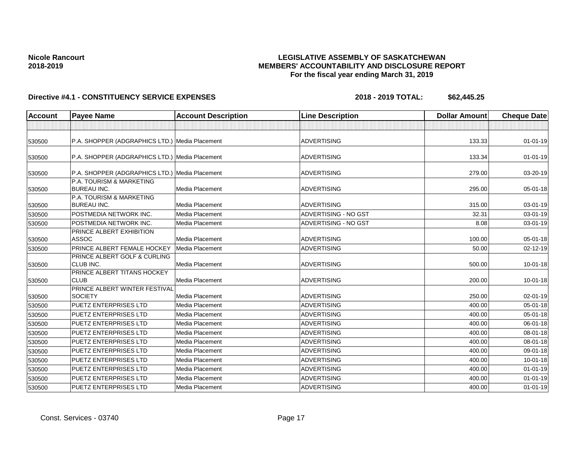## **LEGISLATIVE ASSEMBLY OF SASKATCHEWAN MEMBERS' ACCOUNTABILITY AND DISCLOSURE REPORT For the fiscal year ending March 31, 2019**

| Account | <b>Payee Name</b>                                      | <b>Account Description</b> | <b>Line Description</b> | <b>Dollar Amount</b> | <b>Cheque Date</b> |
|---------|--------------------------------------------------------|----------------------------|-------------------------|----------------------|--------------------|
|         |                                                        |                            |                         |                      |                    |
| 530500  | P.A. SHOPPER (ADGRAPHICS LTD.) Media Placement         |                            | <b>ADVERTISING</b>      | 133.33               | $01 - 01 - 19$     |
| 530500  | P.A. SHOPPER (ADGRAPHICS LTD.) Media Placement         |                            | <b>ADVERTISING</b>      | 133.34               | $01 - 01 - 19$     |
| 530500  | P.A. SHOPPER (ADGRAPHICS LTD.) Media Placement         |                            | <b>ADVERTISING</b>      | 279.00               | 03-20-19           |
| 530500  | P.A. TOURISM & MARKETING<br><b>BUREAU INC.</b>         | <b>Media Placement</b>     | <b>ADVERTISING</b>      | 295.00               | 05-01-18           |
| 530500  | P.A. TOURISM & MARKETING<br><b>BUREAU INC.</b>         | Media Placement            | <b>ADVERTISING</b>      | 315.00               | 03-01-19           |
| 530500  | POSTMEDIA NETWORK INC.                                 | <b>Media Placement</b>     | ADVERTISING - NO GST    | 32.31                | $03 - 01 - 19$     |
| 530500  | POSTMEDIA NETWORK INC.                                 | Media Placement            | ADVERTISING - NO GST    | 8.08                 | 03-01-19           |
| 530500  | PRINCE ALBERT EXHIBITION<br><b>ASSOC</b>               | <b>Media Placement</b>     | <b>ADVERTISING</b>      | 100.00               | $05 - 01 - 18$     |
| 530500  | PRINCE ALBERT FEMALE HOCKEY                            | Media Placement            | <b>ADVERTISING</b>      | 50.00                | 02-12-19           |
| 530500  | PRINCE ALBERT GOLF & CURLING<br><b>CLUB INC.</b>       | Media Placement            | ADVERTISING             | 500.00               | $10 - 01 - 18$     |
| 530500  | PRINCE ALBERT TITANS HOCKEY<br><b>CLUB</b>             | <b>Media Placement</b>     | <b>ADVERTISING</b>      | 200.00               | $10 - 01 - 18$     |
| 530500  | <b>PRINCE ALBERT WINTER FESTIVAL</b><br><b>SOCIETY</b> | Media Placement            | <b>ADVERTISING</b>      | 250.00               | $02 - 01 - 19$     |
| 530500  | <b>PUETZ ENTERPRISES LTD</b>                           | <b>Media Placement</b>     | <b>ADVERTISING</b>      | 400.00               | $05 - 01 - 18$     |
| 530500  | <b>PUETZ ENTERPRISES LTD</b>                           | Media Placement            | <b>ADVERTISING</b>      | 400.00               | 05-01-18           |
| 530500  | <b>PUETZ ENTERPRISES LTD</b>                           | <b>Media Placement</b>     | <b>ADVERTISING</b>      | 400.00               | 06-01-18           |
| 530500  | <b>PUETZ ENTERPRISES LTD</b>                           | Media Placement            | <b>ADVERTISING</b>      | 400.00               | 08-01-18           |
| 530500  | <b>PUETZ ENTERPRISES LTD</b>                           | Media Placement            | <b>ADVERTISING</b>      | 400.00               | 08-01-18           |
| 530500  | <b>PUETZ ENTERPRISES LTD</b>                           | Media Placement            | <b>ADVERTISING</b>      | 400.00               | 09-01-18           |
| 530500  | <b>PUETZ ENTERPRISES LTD</b>                           | <b>Media Placement</b>     | <b>ADVERTISING</b>      | 400.00               | $10 - 01 - 18$     |
| 530500  | <b>PUETZ ENTERPRISES LTD</b>                           | Media Placement            | ADVERTISING             | 400.00               | $01 - 01 - 19$     |
| 530500  | <b>PUETZ ENTERPRISES LTD</b>                           | Media Placement            | <b>ADVERTISING</b>      | 400.00               | $01 - 01 - 19$     |
| 530500  | <b>PUETZ ENTERPRISES LTD</b>                           | Media Placement            | <b>ADVERTISING</b>      | 400.00               | $01 - 01 - 19$     |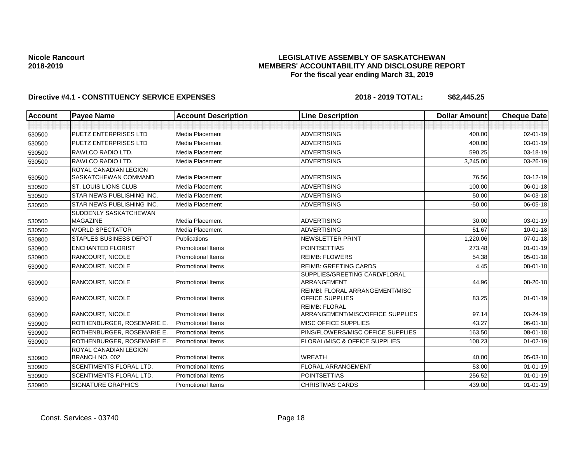## **LEGISLATIVE ASSEMBLY OF SASKATCHEWAN MEMBERS' ACCOUNTABILITY AND DISCLOSURE REPORT For the fiscal year ending March 31, 2019**

| <b>Account</b> | <b>Payee Name</b>                              | <b>Account Description</b> | <b>Line Description</b>                                   | <b>Dollar Amount</b> | <b>Cheque Date</b> |
|----------------|------------------------------------------------|----------------------------|-----------------------------------------------------------|----------------------|--------------------|
|                |                                                |                            |                                                           |                      |                    |
| 530500         | <b>PUETZ ENTERPRISES LTD</b>                   | Media Placement            | <b>ADVERTISING</b>                                        | 400.00               | 02-01-19           |
| 530500         | <b>PUETZ ENTERPRISES LTD</b>                   | Media Placement            | <b>ADVERTISING</b>                                        | 400.00               | $03 - 01 - 19$     |
| 530500         | RAWLCO RADIO LTD.                              | Media Placement            | <b>ADVERTISING</b>                                        | 590.25               | 03-18-19           |
| 530500         | RAWLCO RADIO LTD.                              | Media Placement            | <b>ADVERTISING</b>                                        | 3,245.00             | 03-26-19           |
| 530500         | ROYAL CANADIAN LEGION<br>SASKATCHEWAN COMMAND  | Media Placement            | <b>ADVERTISING</b>                                        | 76.56                | 03-12-19           |
| 530500         | <b>ST. LOUIS LIONS CLUB</b>                    | Media Placement            | <b>ADVERTISING</b>                                        | 100.00               | 06-01-18           |
| 530500         | <b>STAR NEWS PUBLISHING INC.</b>               | Media Placement            | <b>ADVERTISING</b>                                        | 50.00                | 04-03-18           |
| 530500         | <b>STAR NEWS PUBLISHING INC.</b>               | Media Placement            | <b>ADVERTISING</b>                                        | $-50.00$             | 06-05-18           |
| 530500         | SUDDENLY SASKATCHEWAN<br><b>MAGAZINE</b>       | Media Placement            | <b>ADVERTISING</b>                                        | 30.00                | 03-01-19           |
| 530500         | <b>WORLD SPECTATOR</b>                         | Media Placement            | <b>ADVERTISING</b>                                        | 51.67                | $10 - 01 - 18$     |
| 530800         | <b>STAPLES BUSINESS DEPOT</b>                  | Publications               | NEWSLETTER PRINT                                          | 1,220.06             | $07 - 01 - 18$     |
| 530900         | <b>ENCHANTED FLORIST</b>                       | <b>Promotional Items</b>   | <b>POINTSETTIAS</b>                                       | 273.48               | $01 - 01 - 19$     |
| 530900         | RANCOURT, NICOLE                               | <b>Promotional Items</b>   | <b>REIMB: FLOWERS</b>                                     | 54.38                | 05-01-18           |
| 530900         | <b>RANCOURT, NICOLE</b>                        | <b>Promotional Items</b>   | <b>REIMB: GREETING CARDS</b>                              | 4.45                 | 08-01-18           |
| 530900         | <b>RANCOURT, NICOLE</b>                        | <b>Promotional Items</b>   | SUPPLIES/GREETING CARD/FLORAL<br>ARRANGEMENT              | 44.96                | 08-20-18           |
| 530900         | <b>RANCOURT, NICOLE</b>                        | <b>Promotional Items</b>   | <b>REIMBI: FLORAL ARRANGEMENT/MISC</b><br>OFFICE SUPPLIES | 83.25                | $01 - 01 - 19$     |
| 530900         | <b>RANCOURT, NICOLE</b>                        | <b>Promotional Items</b>   | <b>REIMB: FLORAL</b><br>ARRANGEMENT/MISC/OFFICE SUPPLIES  | 97.14                | 03-24-19           |
| 530900         | ROTHENBURGER, ROSEMARIE E.                     | <b>Promotional Items</b>   | <b>MISC OFFICE SUPPLIES</b>                               | 43.27                | 06-01-18           |
| 530900         | ROTHENBURGER, ROSEMARIE E.                     | <b>Promotional Items</b>   | PINS/FLOWERS/MISC OFFICE SUPPLIES                         | 163.50               | 08-01-18           |
| 530900         | ROTHENBURGER, ROSEMARIE E.                     | <b>Promotional Items</b>   | <b>FLORAL/MISC &amp; OFFICE SUPPLIES</b>                  | 108.23               | $01 - 02 - 19$     |
| 530900         | <b>ROYAL CANADIAN LEGION</b><br>BRANCH NO. 002 | <b>Promotional Items</b>   | <b>WREATH</b>                                             | 40.00                | 05-03-18           |
| 530900         | <b>SCENTIMENTS FLORAL LTD.</b>                 | <b>Promotional Items</b>   | <b>FLORAL ARRANGEMENT</b>                                 | 53.00                | $01 - 01 - 19$     |
| 530900         | <b>SCENTIMENTS FLORAL LTD.</b>                 | Promotional Items          | <b>POINTSETTIAS</b>                                       | 256.52               | $01 - 01 - 19$     |
| 530900         | <b>SIGNATURE GRAPHICS</b>                      | <b>Promotional Items</b>   | <b>CHRISTMAS CARDS</b>                                    | 439.00               | $01 - 01 - 19$     |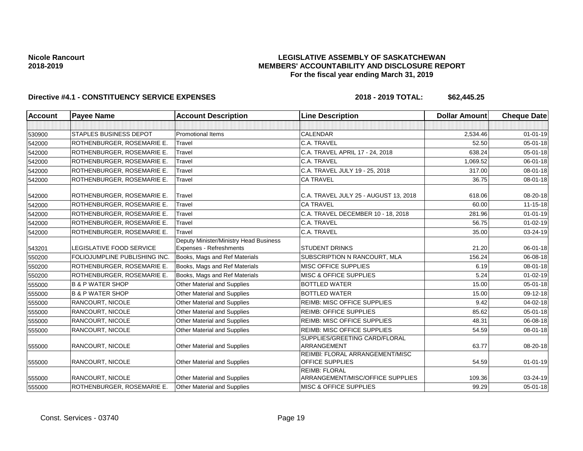## **LEGISLATIVE ASSEMBLY OF SASKATCHEWAN MEMBERS' ACCOUNTABILITY AND DISCLOSURE REPORT For the fiscal year ending March 31, 2019**

| <b>Account</b> | <b>Payee Name</b>               | <b>Account Description</b>                                               | <b>Line Description</b>                                   | <b>Dollar Amount</b> | <b>Cheque Date</b> |
|----------------|---------------------------------|--------------------------------------------------------------------------|-----------------------------------------------------------|----------------------|--------------------|
|                |                                 |                                                                          |                                                           |                      |                    |
| 530900         | <b>STAPLES BUSINESS DEPOT</b>   | <b>Promotional Items</b>                                                 | <b>CALENDAR</b>                                           | 2,534.46             | $01 - 01 - 19$     |
| 542000         | ROTHENBURGER, ROSEMARIE E.      | Travel                                                                   | C.A. TRAVEL                                               | 52.50                | 05-01-18           |
| 542000         | ROTHENBURGER, ROSEMARIE E.      | Travel                                                                   | C.A. TRAVEL APRIL 17 - 24, 2018                           | 638.24               | $05 - 01 - 18$     |
| 542000         | ROTHENBURGER, ROSEMARIE E.      | Travel                                                                   | C.A. TRAVEL                                               | 1,069.52             | 06-01-18           |
| 542000         | ROTHENBURGER, ROSEMARIE E.      | Travel                                                                   | C.A. TRAVEL JULY 19 - 25, 2018                            | 317.00               | $08 - 01 - 18$     |
| 542000         | ROTHENBURGER, ROSEMARIE E.      | Travel                                                                   | <b>CA TRAVEL</b>                                          | 36.75                | 08-01-18           |
| 542000         | ROTHENBURGER, ROSEMARIE E.      | Travel                                                                   | C.A. TRAVEL JULY 25 - AUGUST 13, 2018                     | 618.06               | 08-20-18           |
| 542000         | ROTHENBURGER, ROSEMARIE E.      | Travel                                                                   | <b>CA TRAVEL</b>                                          | 60.00                | $11 - 15 - 18$     |
| 542000         | ROTHENBURGER, ROSEMARIE E.      | Travel                                                                   | C.A. TRAVEL DECEMBER 10 - 18, 2018                        | 281.96               | $01 - 01 - 19$     |
| 542000         | ROTHENBURGER, ROSEMARIE E.      | Travel                                                                   | C.A. TRAVEL                                               | 56.75                | $01 - 02 - 19$     |
| 542000         | ROTHENBURGER, ROSEMARIE E.      | Travel                                                                   | C.A. TRAVEL                                               | 35.00                | $03 - 24 - 19$     |
| 543201         | <b>LEGISLATIVE FOOD SERVICE</b> | Deputy Minister/Ministry Head Business<br><b>Expenses - Refreshments</b> | <b>STUDENT DRINKS</b>                                     | 21.20                | 06-01-18           |
| 550200         | FOLIOJUMPLINE PUBLISHING INC.   | Books, Mags and Ref Materials                                            | SUBSCRIPTION N RANCOURT, MLA                              | 156.24               | 06-08-18           |
| 550200         | ROTHENBURGER, ROSEMARIE E.      | Books, Mags and Ref Materials                                            | MISC OFFICE SUPPLIES                                      | 6.19                 | $08 - 01 - 18$     |
| 550200         | ROTHENBURGER, ROSEMARIE E.      | Books, Mags and Ref Materials                                            | <b>MISC &amp; OFFICE SUPPLIES</b>                         | 5.24                 | $01 - 02 - 19$     |
| 555000         | <b>B &amp; P WATER SHOP</b>     | <b>Other Material and Supplies</b>                                       | <b>BOTTLED WATER</b>                                      | 15.00                | $05 - 01 - 18$     |
| 555000         | <b>B &amp; P WATER SHOP</b>     | Other Material and Supplies                                              | <b>BOTTLED WATER</b>                                      | 15.00                | 09-12-18           |
| 555000         | <b>RANCOURT, NICOLE</b>         | Other Material and Supplies                                              | <b>REIMB: MISC OFFICE SUPPLIES</b>                        | 9.42                 | $04 - 02 - 18$     |
| 555000         | RANCOURT, NICOLE                | Other Material and Supplies                                              | <b>REIMB: OFFICE SUPPLIES</b>                             | 85.62                | $05 - 01 - 18$     |
| 555000         | <b>RANCOURT, NICOLE</b>         | Other Material and Supplies                                              | <b>REIMB: MISC OFFICE SUPPLIES</b>                        | 48.31                | 06-08-18           |
| 555000         | RANCOURT, NICOLE                | Other Material and Supplies                                              | <b>REIMB: MISC OFFICE SUPPLIES</b>                        | 54.59                | 08-01-18           |
| 555000         | <b>RANCOURT, NICOLE</b>         | <b>Other Material and Supplies</b>                                       | SUPPLIES/GREETING CARD/FLORAL<br>ARRANGEMENT              | 63.77                | 08-20-18           |
| 555000         | <b>RANCOURT, NICOLE</b>         | <b>Other Material and Supplies</b>                                       | <b>REIMBI: FLORAL ARRANGEMENT/MISC</b><br>OFFICE SUPPLIES | 54.59                | $01 - 01 - 19$     |
| 555000         | <b>RANCOURT, NICOLE</b>         | Other Material and Supplies                                              | <b>REIMB: FLORAL</b><br>ARRANGEMENT/MISC/OFFICE SUPPLIES  | 109.36               | 03-24-19           |
| 555000         | ROTHENBURGER, ROSEMARIE E.      | <b>Other Material and Supplies</b>                                       | <b>MISC &amp; OFFICE SUPPLIES</b>                         | 99.29                | $05 - 01 - 18$     |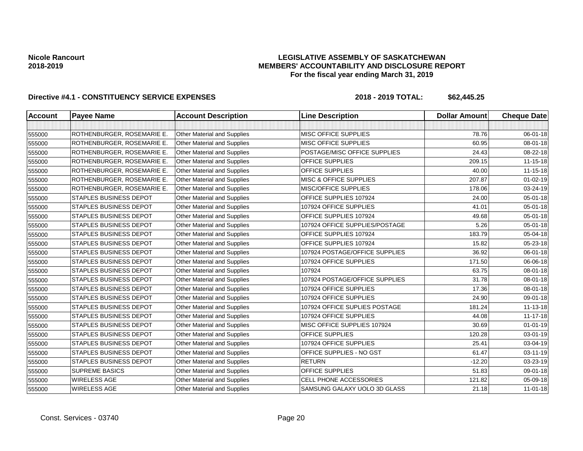## **LEGISLATIVE ASSEMBLY OF SASKATCHEWAN MEMBERS' ACCOUNTABILITY AND DISCLOSURE REPORT For the fiscal year ending March 31, 2019**

| <b>Account</b> | <b>Payee Name</b>             | <b>Account Description</b>         | <b>Line Description</b>           | <b>Dollar Amount</b> | <b>Cheque Date</b> |
|----------------|-------------------------------|------------------------------------|-----------------------------------|----------------------|--------------------|
|                |                               |                                    |                                   |                      |                    |
| 555000         | ROTHENBURGER, ROSEMARIE E.    | <b>Other Material and Supplies</b> | <b>MISC OFFICE SUPPLIES</b>       | 78.76                | 06-01-18           |
| 555000         | ROTHENBURGER, ROSEMARIE E.    | <b>Other Material and Supplies</b> | <b>MISC OFFICE SUPPLIES</b>       | 60.95                | $08 - 01 - 18$     |
| 555000         | ROTHENBURGER, ROSEMARIE E.    | Other Material and Supplies        | POSTAGE/MISC OFFICE SUPPLIES      | 24.43                | 08-22-18           |
| 555000         | ROTHENBURGER, ROSEMARIE E.    | <b>Other Material and Supplies</b> | <b>OFFICE SUPPLIES</b>            | 209.15               | $11 - 15 - 18$     |
| 555000         | ROTHENBURGER, ROSEMARIE E.    | <b>Other Material and Supplies</b> | <b>OFFICE SUPPLIES</b>            | 40.00                | 11-15-18           |
| 555000         | ROTHENBURGER, ROSEMARIE E.    | Other Material and Supplies        | <b>MISC &amp; OFFICE SUPPLIES</b> | 207.87               | $01 - 02 - 19$     |
| 555000         | ROTHENBURGER, ROSEMARIE E.    | <b>Other Material and Supplies</b> | <b>MISC/OFFICE SUPPLIES</b>       | 178.06               | 03-24-19           |
| 555000         | <b>STAPLES BUSINESS DEPOT</b> | <b>Other Material and Supplies</b> | OFFICE SUPPLIES 107924            | 24.00                | 05-01-18           |
| 555000         | <b>STAPLES BUSINESS DEPOT</b> | <b>Other Material and Supplies</b> | 107924 OFFICE SUPPLIES            | 41.01                | 05-01-18           |
| 555000         | STAPLES BUSINESS DEPOT        | <b>Other Material and Supplies</b> | OFFICE SUPPLIES 107924            | 49.68                | 05-01-18           |
| 555000         | <b>STAPLES BUSINESS DEPOT</b> | Other Material and Supplies        | 107924 OFFICE SUPPLIES/POSTAGE    | 5.26                 | 05-01-18           |
| 555000         | <b>STAPLES BUSINESS DEPOT</b> | <b>Other Material and Supplies</b> | OFFICE SUPPLIES 107924            | 183.79               | 05-04-18           |
| 555000         | <b>STAPLES BUSINESS DEPOT</b> | <b>Other Material and Supplies</b> | <b>OFFICE SUPPLIES 107924</b>     | 15.82                | 05-23-18           |
| 555000         | <b>STAPLES BUSINESS DEPOT</b> | <b>Other Material and Supplies</b> | 107924 POSTAGE/OFFICE SUPPLIES    | 36.92                | 06-01-18           |
| 555000         | <b>STAPLES BUSINESS DEPOT</b> | <b>Other Material and Supplies</b> | 107924 OFFICE SUPPLIES            | 171.50               | 06-06-18           |
| 555000         | <b>STAPLES BUSINESS DEPOT</b> | Other Material and Supplies        | 107924                            | 63.75                | 08-01-18           |
| 555000         | <b>STAPLES BUSINESS DEPOT</b> | <b>Other Material and Supplies</b> | 107924 POSTAGE/OFFICE SUPPLIES    | 31.78                | 08-01-18           |
| 555000         | <b>STAPLES BUSINESS DEPOT</b> | <b>Other Material and Supplies</b> | 107924 OFFICE SUPPLIES            | 17.36                | $08 - 01 - 18$     |
| 555000         | <b>STAPLES BUSINESS DEPOT</b> | Other Material and Supplies        | 107924 OFFICE SUPPLIES            | 24.90                | 09-01-18           |
| 555000         | <b>STAPLES BUSINESS DEPOT</b> | <b>Other Material and Supplies</b> | 107924 OFFICE SUPLIES POSTAGE     | 181.24               | $11 - 13 - 18$     |
| 555000         | <b>STAPLES BUSINESS DEPOT</b> | <b>Other Material and Supplies</b> | 107924 OFFICE SUPPLIES            | 44.08                | 11-17-18           |
| 555000         | <b>STAPLES BUSINESS DEPOT</b> | <b>Other Material and Supplies</b> | MISC OFFICE SUPPLIES 107924       | 30.69                | $01 - 01 - 19$     |
| 555000         | <b>STAPLES BUSINESS DEPOT</b> | <b>Other Material and Supplies</b> | <b>OFFICE SUPPLIES</b>            | 120.28               | 03-01-19           |
| 555000         | <b>STAPLES BUSINESS DEPOT</b> | <b>Other Material and Supplies</b> | 107924 OFFICE SUPPLIES            | 25.41                | 03-04-19           |
| 555000         | <b>STAPLES BUSINESS DEPOT</b> | Other Material and Supplies        | OFFICE SUPPLIES - NO GST          | 61.47                | 03-11-19           |
| 555000         | <b>STAPLES BUSINESS DEPOT</b> | Other Material and Supplies        | <b>RETURN</b>                     | $-12.20$             | 03-23-19           |
| 555000         | <b>SUPREME BASICS</b>         | Other Material and Supplies        | OFFICE SUPPLIES                   | 51.83                | 09-01-18           |
| 555000         | <b>WIRELESS AGE</b>           | Other Material and Supplies        | CELL PHONE ACCESSORIES            | 121.82               | 05-09-18           |
| 555000         | <b>WIRELESS AGE</b>           | Other Material and Supplies        | SAMSUNG GALAXY UOLO 3D GLASS      | 21.18                | $11-01-18$         |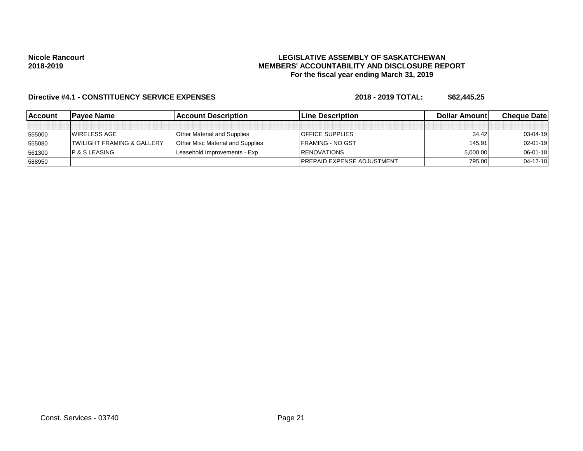## **LEGISLATIVE ASSEMBLY OF SASKATCHEWAN MEMBERS' ACCOUNTABILITY AND DISCLOSURE REPORT For the fiscal year ending March 31, 2019**

| <b>IAccount</b> | lPavee Name                           | <b>IAccount Description</b>             | <b>Line Description</b>           | <b>Dollar Amountl</b> | <b>Cheque Datel</b> |
|-----------------|---------------------------------------|-----------------------------------------|-----------------------------------|-----------------------|---------------------|
|                 |                                       |                                         |                                   |                       |                     |
| 555000          | <b>IWIRELESS AGE</b>                  | <b>Other Material and Supplies</b>      | <b>OFFICE SUPPLIES</b>            | 34.42                 | $03 - 04 - 19$      |
| 555080          | <b>TWILIGHT FRAMING &amp; GALLERY</b> | <b>Other Misc Material and Supplies</b> | <b>IFRAMING - NO GST</b>          | 145.91                | $02 - 01 - 19$      |
| 561300          | IP & S LEASING                        | Leasehold Improvements - Exp            | <b>IRENOVATIONS</b>               | 5,000.00              | $06 - 01 - 18$      |
| 588950          |                                       |                                         | <b>PREPAID EXPENSE ADJUSTMENT</b> | 795.00                | $04 - 12 - 18$      |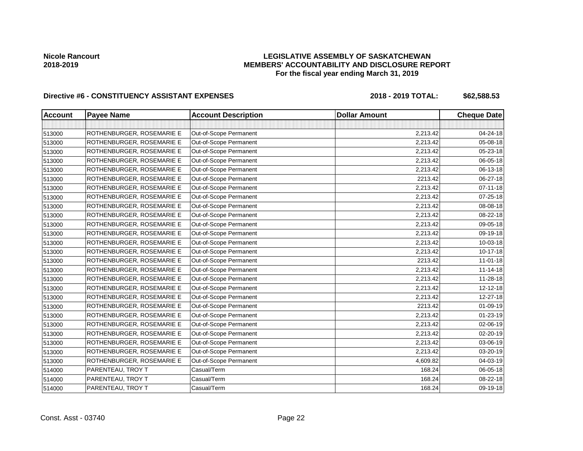# **LEGISLATIVE ASSEMBLY OF SASKATCHEWAN MEMBERS' ACCOUNTABILITY AND DISCLOSURE REPORT For the fiscal year ending March 31, 2019**

| <b>Account</b> | <b>Payee Name</b>         | <b>Account Description</b> | <b>Dollar Amount</b> | <b>Cheque Date</b> |
|----------------|---------------------------|----------------------------|----------------------|--------------------|
|                |                           |                            |                      |                    |
| 513000         | ROTHENBURGER, ROSEMARIE E | Out-of-Scope Permanent     | 2,213.42             | 04-24-18           |
| 513000         | ROTHENBURGER, ROSEMARIE E | Out-of-Scope Permanent     | 2,213.42             | 05-08-18           |
| 513000         | ROTHENBURGER, ROSEMARIE E | Out-of-Scope Permanent     | 2,213.42             | 05-23-18           |
| 513000         | ROTHENBURGER, ROSEMARIE E | Out-of-Scope Permanent     | 2,213.42             | 06-05-18           |
| 513000         | ROTHENBURGER, ROSEMARIE E | Out-of-Scope Permanent     | 2,213.42             | 06-13-18           |
| 513000         | ROTHENBURGER, ROSEMARIE E | Out-of-Scope Permanent     | 2213.42              | 06-27-18           |
| 513000         | ROTHENBURGER, ROSEMARIE E | Out-of-Scope Permanent     | 2,213.42             | $07 - 11 - 18$     |
| 513000         | ROTHENBURGER, ROSEMARIE E | Out-of-Scope Permanent     | 2,213.42             | $07 - 25 - 18$     |
| 513000         | ROTHENBURGER, ROSEMARIE E | Out-of-Scope Permanent     | 2,213.42             | 08-08-18           |
| 513000         | ROTHENBURGER, ROSEMARIE E | Out-of-Scope Permanent     | 2,213.42             | 08-22-18           |
| 513000         | ROTHENBURGER, ROSEMARIE E | Out-of-Scope Permanent     | 2,213.42             | 09-05-18           |
| 513000         | ROTHENBURGER, ROSEMARIE E | Out-of-Scope Permanent     | 2,213.42             | 09-19-18           |
| 513000         | ROTHENBURGER, ROSEMARIE E | Out-of-Scope Permanent     | 2,213.42             | 10-03-18           |
| 513000         | ROTHENBURGER, ROSEMARIE E | Out-of-Scope Permanent     | 2,213.42             | 10-17-18           |
| 513000         | ROTHENBURGER, ROSEMARIE E | Out-of-Scope Permanent     | 2213.42              | $11-01-18$         |
| 513000         | ROTHENBURGER, ROSEMARIE E | Out-of-Scope Permanent     | 2,213.42             | $11 - 14 - 18$     |
| 513000         | ROTHENBURGER, ROSEMARIE E | Out-of-Scope Permanent     | 2,213.42             | 11-28-18           |
| 513000         | ROTHENBURGER, ROSEMARIE E | Out-of-Scope Permanent     | 2,213.42             | $12 - 12 - 18$     |
| 513000         | ROTHENBURGER, ROSEMARIE E | Out-of-Scope Permanent     | 2,213.42             | 12-27-18           |
| 513000         | ROTHENBURGER, ROSEMARIE E | Out-of-Scope Permanent     | 2213.42              | 01-09-19           |
| 513000         | ROTHENBURGER, ROSEMARIE E | Out-of-Scope Permanent     | 2,213.42             | 01-23-19           |
| 513000         | ROTHENBURGER, ROSEMARIE E | Out-of-Scope Permanent     | 2,213.42             | 02-06-19           |
| 513000         | ROTHENBURGER, ROSEMARIE E | Out-of-Scope Permanent     | 2,213.42             | 02-20-19           |
| 513000         | ROTHENBURGER, ROSEMARIE E | Out-of-Scope Permanent     | 2,213.42             | 03-06-19           |
| 513000         | ROTHENBURGER, ROSEMARIE E | Out-of-Scope Permanent     | 2,213.42             | 03-20-19           |
| 513000         | ROTHENBURGER, ROSEMARIE E | Out-of-Scope Permanent     | 4,609.82             | 04-03-19           |
| 514000         | PARENTEAU, TROY T         | Casual/Term                | 168.24               | 06-05-18           |
| 514000         | PARENTEAU, TROY T         | Casual/Term                | 168.24               | 08-22-18           |
| 514000         | PARENTEAU, TROY T         | Casual/Term                | 168.24               | 09-19-18           |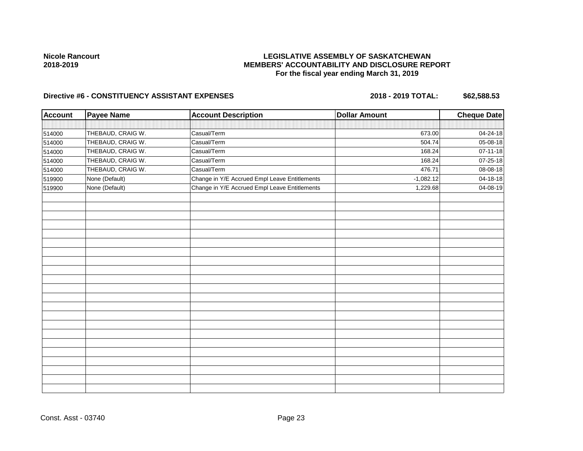# **LEGISLATIVE ASSEMBLY OF SASKATCHEWAN MEMBERS' ACCOUNTABILITY AND DISCLOSURE REPORT For the fiscal year ending March 31, 2019**

| <b>Account</b> | <b>Payee Name</b> | <b>Account Description</b>                    | <b>Dollar Amount</b> | <b>Cheque Date</b> |
|----------------|-------------------|-----------------------------------------------|----------------------|--------------------|
|                |                   |                                               |                      |                    |
| 514000         | THEBAUD, CRAIG W. | Casual/Term                                   | 673.00               | 04-24-18           |
| 514000         | THEBAUD, CRAIG W. | Casual/Term                                   | 504.74               | 05-08-18           |
| 514000         | THEBAUD, CRAIG W. | Casual/Term                                   | 168.24               | $07 - 11 - 18$     |
| 514000         | THEBAUD, CRAIG W. | Casual/Term                                   | 168.24               | 07-25-18           |
| 514000         | THEBAUD, CRAIG W. | Casual/Term                                   | 476.71               | 08-08-18           |
| 519900         | None (Default)    | Change in Y/E Accrued Empl Leave Entitlements | $-1,082.12$          | 04-18-18           |
| 519900         | None (Default)    | Change in Y/E Accrued Empl Leave Entitlements | 1,229.68             | 04-08-19           |
|                |                   |                                               |                      |                    |
|                |                   |                                               |                      |                    |
|                |                   |                                               |                      |                    |
|                |                   |                                               |                      |                    |
|                |                   |                                               |                      |                    |
|                |                   |                                               |                      |                    |
|                |                   |                                               |                      |                    |
|                |                   |                                               |                      |                    |
|                |                   |                                               |                      |                    |
|                |                   |                                               |                      |                    |
|                |                   |                                               |                      |                    |
|                |                   |                                               |                      |                    |
|                |                   |                                               |                      |                    |
|                |                   |                                               |                      |                    |
|                |                   |                                               |                      |                    |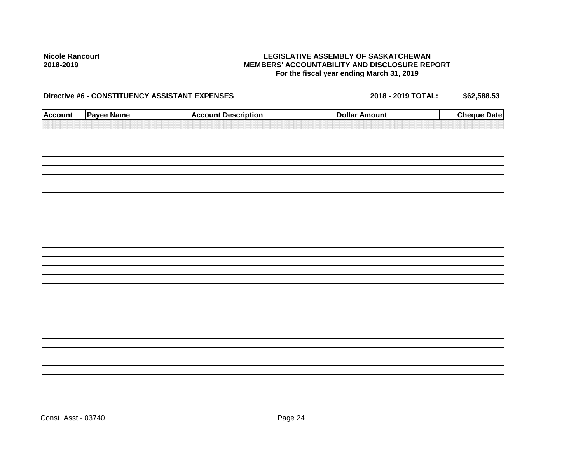# **LEGISLATIVE ASSEMBLY OF SASKATCHEWAN MEMBERS' ACCOUNTABILITY AND DISCLOSURE REPORT For the fiscal year ending March 31, 2019**

| <b>Account</b> | Payee Name | <b>Account Description</b> | <b>Dollar Amount</b> | <b>Cheque Date</b> |
|----------------|------------|----------------------------|----------------------|--------------------|
|                |            |                            |                      |                    |
|                |            |                            |                      |                    |
|                |            |                            |                      |                    |
|                |            |                            |                      |                    |
|                |            |                            |                      |                    |
|                |            |                            |                      |                    |
|                |            |                            |                      |                    |
|                |            |                            |                      |                    |
|                |            |                            |                      |                    |
|                |            |                            |                      |                    |
|                |            |                            |                      |                    |
|                |            |                            |                      |                    |
|                |            |                            |                      |                    |
|                |            |                            |                      |                    |
|                |            |                            |                      |                    |
|                |            |                            |                      |                    |
|                |            |                            |                      |                    |
|                |            |                            |                      |                    |
|                |            |                            |                      |                    |
|                |            |                            |                      |                    |
|                |            |                            |                      |                    |
|                |            |                            |                      |                    |
|                |            |                            |                      |                    |
|                |            |                            |                      |                    |
|                |            |                            |                      |                    |
|                |            |                            |                      |                    |
|                |            |                            |                      |                    |
|                |            |                            |                      |                    |
|                |            |                            |                      |                    |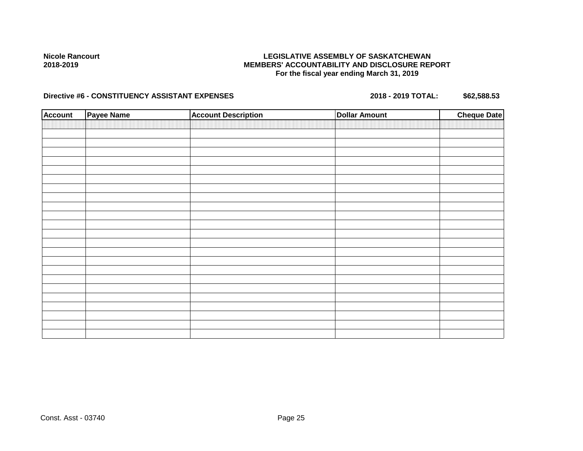# **LEGISLATIVE ASSEMBLY OF SASKATCHEWAN MEMBERS' ACCOUNTABILITY AND DISCLOSURE REPORT For the fiscal year ending March 31, 2019**

| <b>Account</b> | <b>Payee Name</b> | <b>Account Description</b> | <b>Dollar Amount</b> | <b>Cheque Date</b> |
|----------------|-------------------|----------------------------|----------------------|--------------------|
|                |                   |                            |                      |                    |
|                |                   |                            |                      |                    |
|                |                   |                            |                      |                    |
|                |                   |                            |                      |                    |
|                |                   |                            |                      |                    |
|                |                   |                            |                      |                    |
|                |                   |                            |                      |                    |
|                |                   |                            |                      |                    |
|                |                   |                            |                      |                    |
|                |                   |                            |                      |                    |
|                |                   |                            |                      |                    |
|                |                   |                            |                      |                    |
|                |                   |                            |                      |                    |
|                |                   |                            |                      |                    |
|                |                   |                            |                      |                    |
|                |                   |                            |                      |                    |
|                |                   |                            |                      |                    |
|                |                   |                            |                      |                    |
|                |                   |                            |                      |                    |
|                |                   |                            |                      |                    |
|                |                   |                            |                      |                    |
|                |                   |                            |                      |                    |
|                |                   |                            |                      |                    |